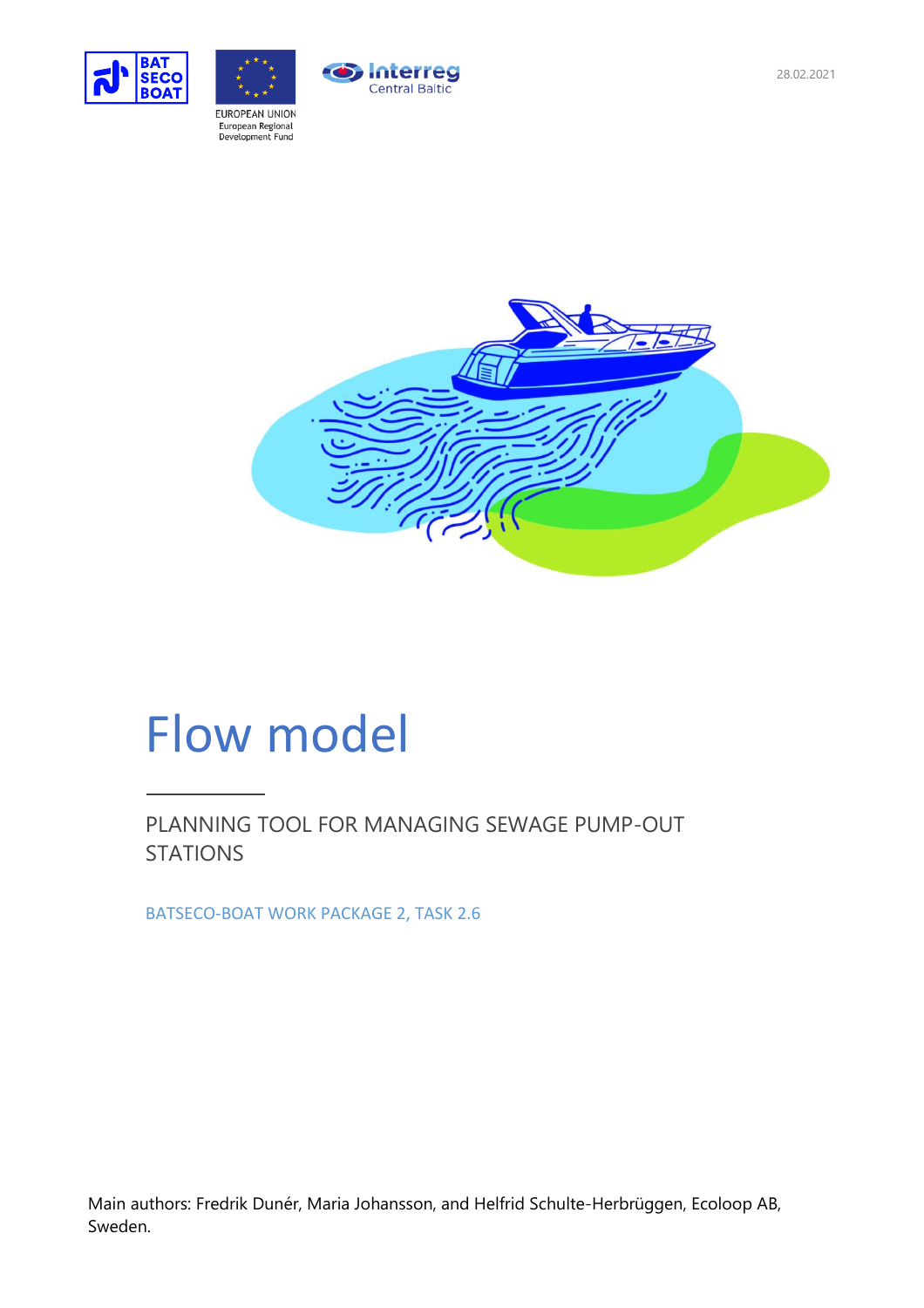



**Interreg** Central Baltic

# Flow model

PLANNING TOOL FOR MANAGING SEWAGE PUMP-OUT **STATIONS** 

BATSECO-BOAT WORK PACKAGE 2, TASK 2.6

Main authors: Fredrik Dunér, Maria Johansson, and Helfrid Schulte-Herbrüggen, Ecoloop AB, Sweden.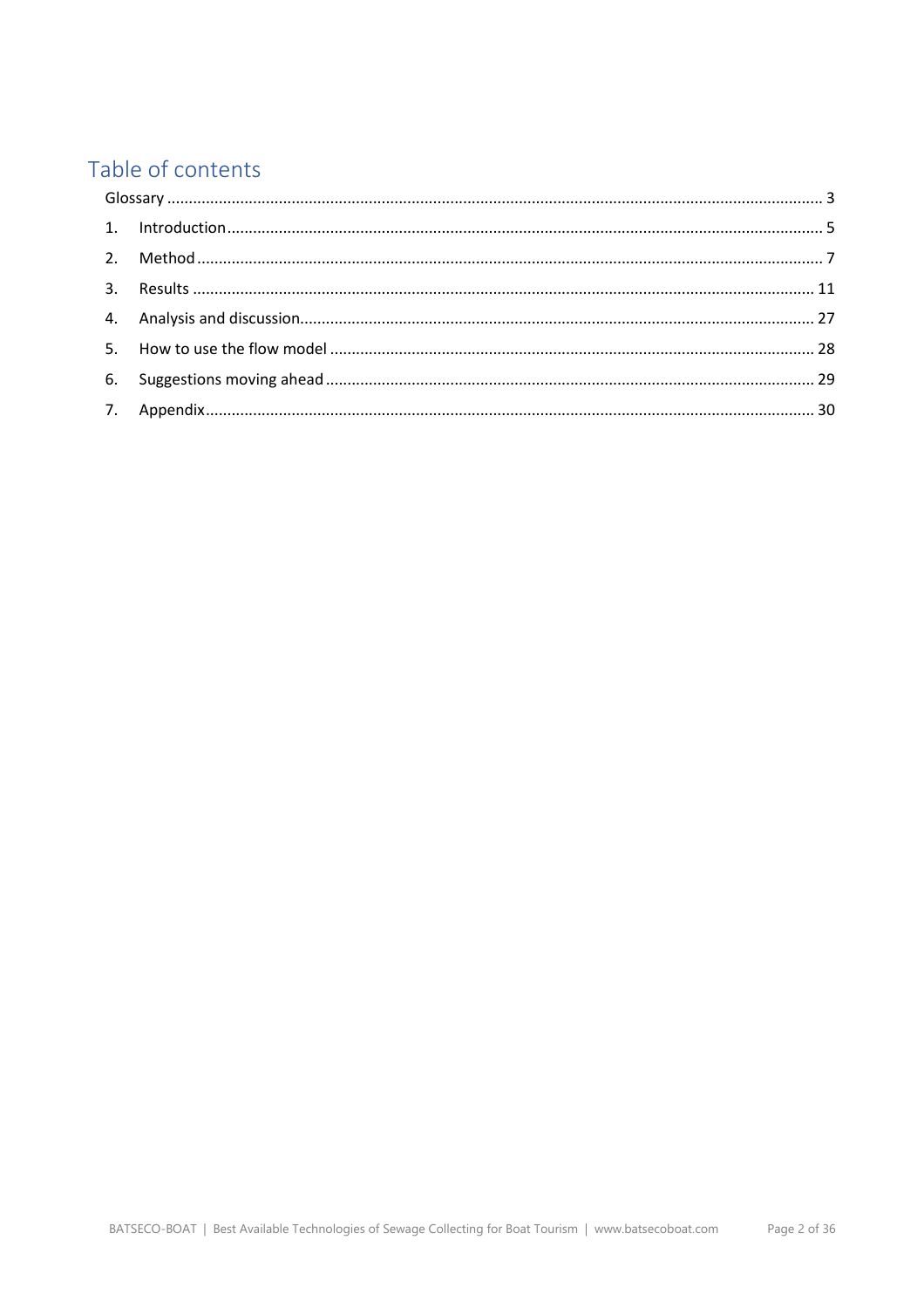# Table of contents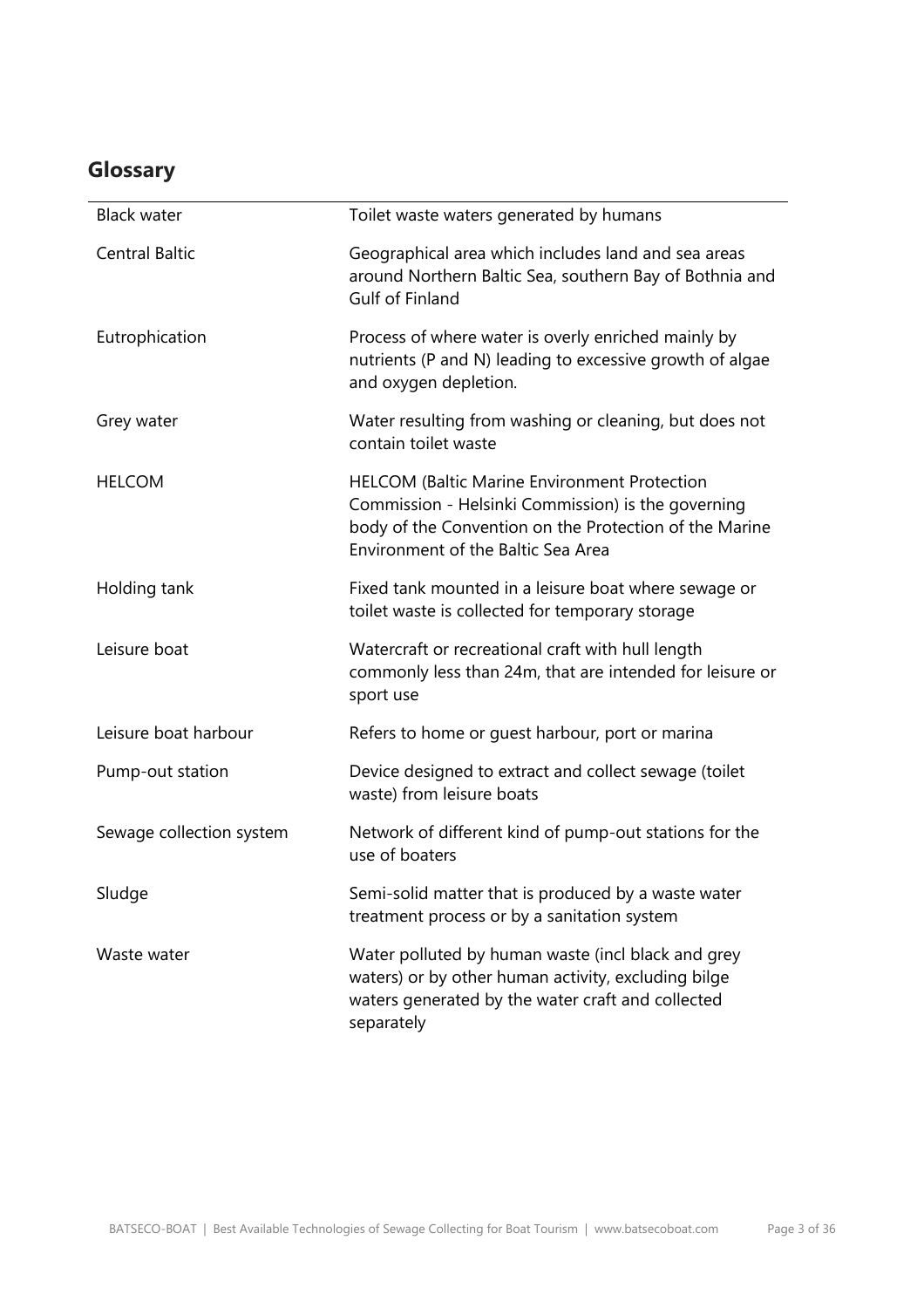# <span id="page-2-0"></span>**Glossary**

| <b>Black water</b>       | Toilet waste waters generated by humans                                                                                                                                                                   |
|--------------------------|-----------------------------------------------------------------------------------------------------------------------------------------------------------------------------------------------------------|
| <b>Central Baltic</b>    | Geographical area which includes land and sea areas<br>around Northern Baltic Sea, southern Bay of Bothnia and<br>Gulf of Finland                                                                         |
| Eutrophication           | Process of where water is overly enriched mainly by<br>nutrients (P and N) leading to excessive growth of algae<br>and oxygen depletion.                                                                  |
| Grey water               | Water resulting from washing or cleaning, but does not<br>contain toilet waste                                                                                                                            |
| <b>HELCOM</b>            | <b>HELCOM (Baltic Marine Environment Protection</b><br>Commission - Helsinki Commission) is the governing<br>body of the Convention on the Protection of the Marine<br>Environment of the Baltic Sea Area |
| Holding tank             | Fixed tank mounted in a leisure boat where sewage or<br>toilet waste is collected for temporary storage                                                                                                   |
| Leisure boat             | Watercraft or recreational craft with hull length<br>commonly less than 24m, that are intended for leisure or<br>sport use                                                                                |
| Leisure boat harbour     | Refers to home or guest harbour, port or marina                                                                                                                                                           |
| Pump-out station         | Device designed to extract and collect sewage (toilet<br>waste) from leisure boats                                                                                                                        |
| Sewage collection system | Network of different kind of pump-out stations for the<br>use of boaters                                                                                                                                  |
| Sludge                   | Semi-solid matter that is produced by a waste water<br>treatment process or by a sanitation system                                                                                                        |
| Waste water              | Water polluted by human waste (incl black and grey<br>waters) or by other human activity, excluding bilge<br>waters generated by the water craft and collected<br>separately                              |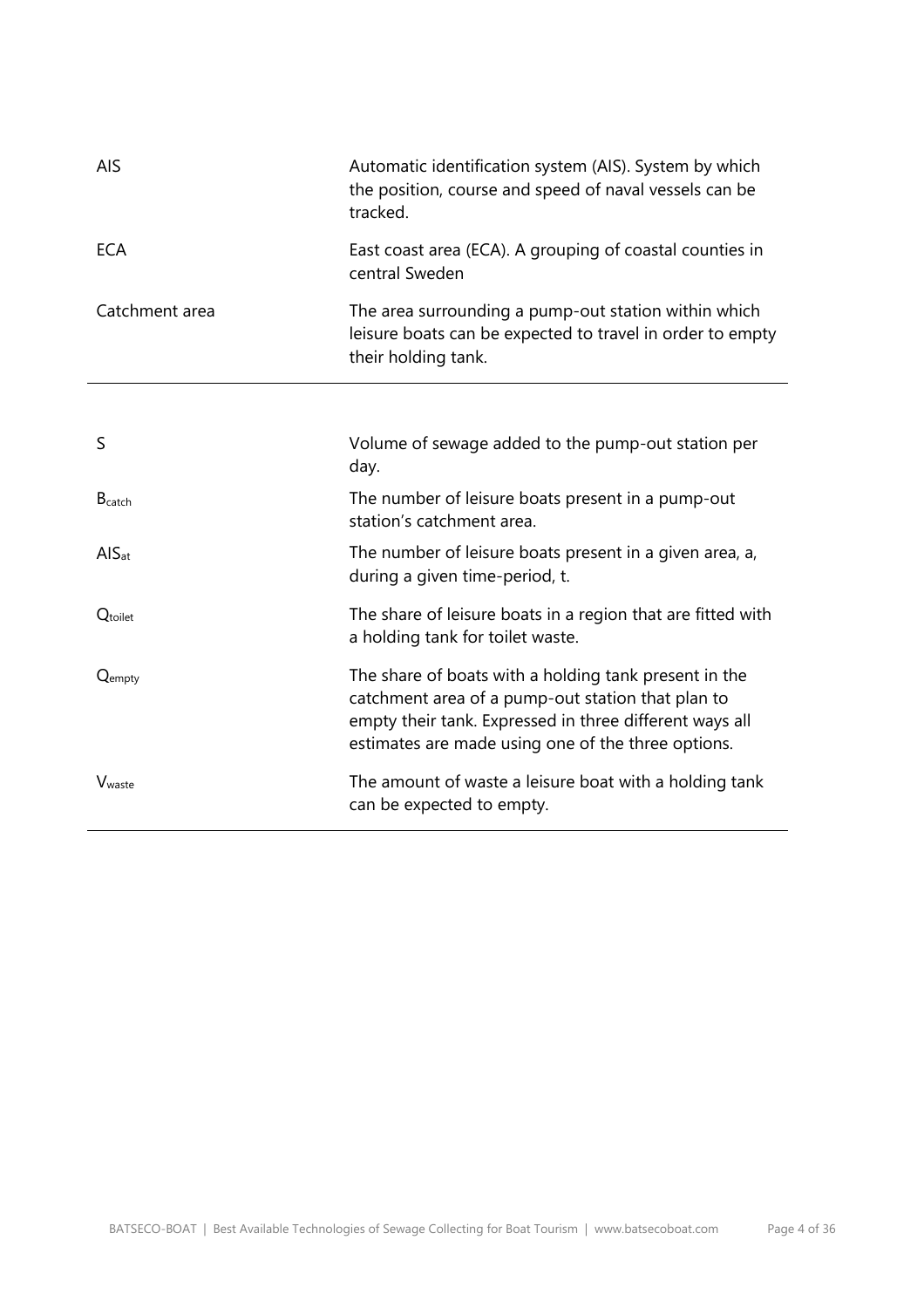| AIS                          | Automatic identification system (AIS). System by which<br>the position, course and speed of naval vessels can be<br>tracked.                                                                                                |  |
|------------------------------|-----------------------------------------------------------------------------------------------------------------------------------------------------------------------------------------------------------------------------|--|
| <b>ECA</b>                   | East coast area (ECA). A grouping of coastal counties in<br>central Sweden                                                                                                                                                  |  |
| Catchment area               | The area surrounding a pump-out station within which<br>leisure boats can be expected to travel in order to empty<br>their holding tank.                                                                                    |  |
|                              |                                                                                                                                                                                                                             |  |
| S                            | Volume of sewage added to the pump-out station per<br>day.                                                                                                                                                                  |  |
| $B_{\text{catch}}$           | The number of leisure boats present in a pump-out<br>station's catchment area.                                                                                                                                              |  |
| $\overline{A}$ <sub>at</sub> | The number of leisure boats present in a given area, a,<br>during a given time-period, t.                                                                                                                                   |  |
| $Q_{\text{toilet}}$          | The share of leisure boats in a region that are fitted with<br>a holding tank for toilet waste.                                                                                                                             |  |
| Qempty                       | The share of boats with a holding tank present in the<br>catchment area of a pump-out station that plan to<br>empty their tank. Expressed in three different ways all<br>estimates are made using one of the three options. |  |
| V <sub>waste</sub>           | The amount of waste a leisure boat with a holding tank<br>can be expected to empty.                                                                                                                                         |  |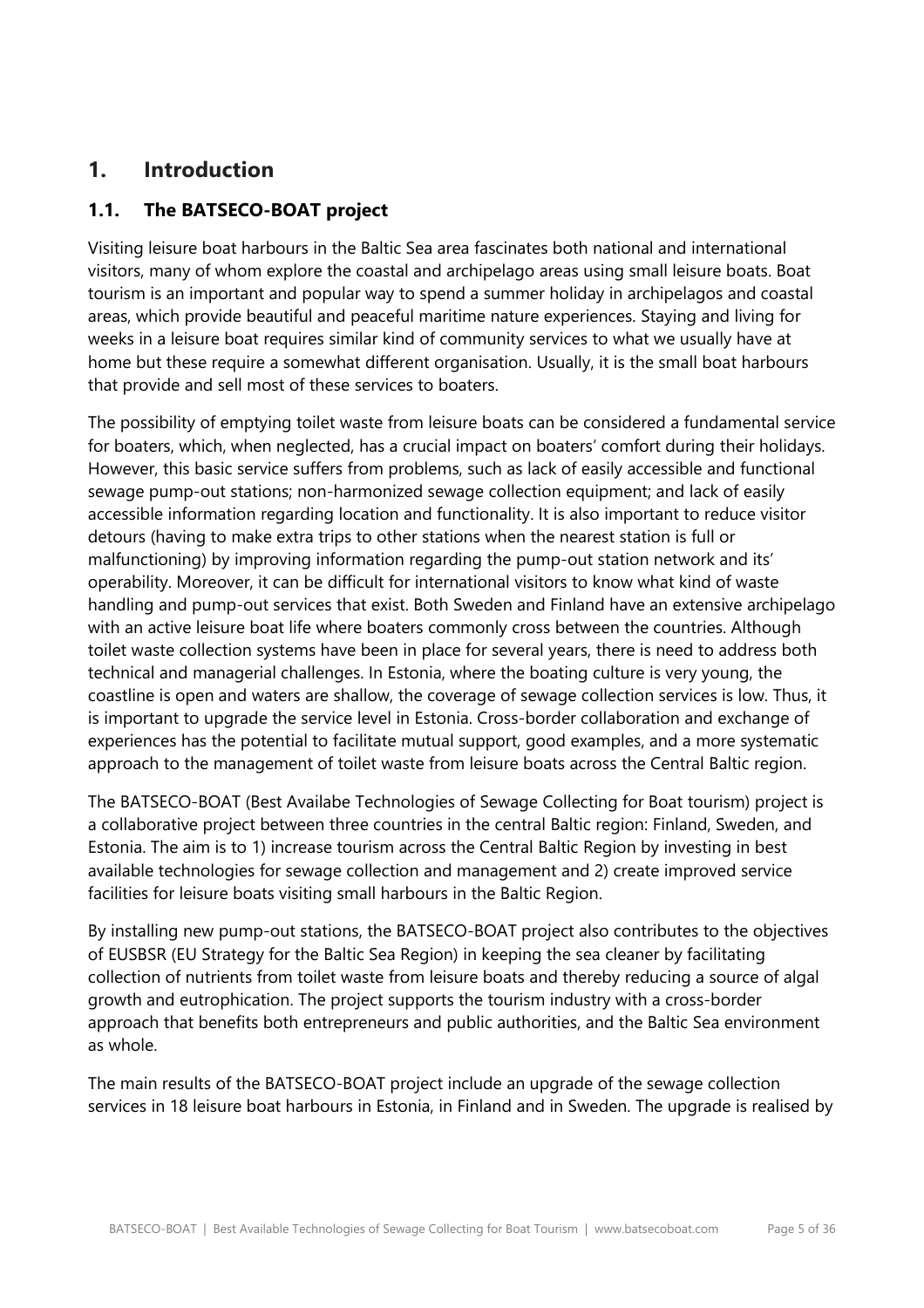# <span id="page-4-0"></span>**1. Introduction**

# **1.1. The BATSECO-BOAT project**

Visiting leisure boat harbours in the Baltic Sea area fascinates both national and international visitors, many of whom explore the coastal and archipelago areas using small leisure boats. Boat tourism is an important and popular way to spend a summer holiday in archipelagos and coastal areas, which provide beautiful and peaceful maritime nature experiences. Staying and living for weeks in a leisure boat requires similar kind of community services to what we usually have at home but these require a somewhat different organisation. Usually, it is the small boat harbours that provide and sell most of these services to boaters.

The possibility of emptying toilet waste from leisure boats can be considered a fundamental service for boaters, which, when neglected, has a crucial impact on boaters' comfort during their holidays. However, this basic service suffers from problems, such as lack of easily accessible and functional sewage pump-out stations; non-harmonized sewage collection equipment; and lack of easily accessible information regarding location and functionality. It is also important to reduce visitor detours (having to make extra trips to other stations when the nearest station is full or malfunctioning) by improving information regarding the pump-out station network and its' operability. Moreover, it can be difficult for international visitors to know what kind of waste handling and pump-out services that exist. Both Sweden and Finland have an extensive archipelago with an active leisure boat life where boaters commonly cross between the countries. Although toilet waste collection systems have been in place for several years, there is need to address both technical and managerial challenges. In Estonia, where the boating culture is very young, the coastline is open and waters are shallow, the coverage of sewage collection services is low. Thus, it is important to upgrade the service level in Estonia. Cross-border collaboration and exchange of experiences has the potential to facilitate mutual support, good examples, and a more systematic approach to the management of toilet waste from leisure boats across the Central Baltic region.

The BATSECO-BOAT (Best Availabe Technologies of Sewage Collecting for Boat tourism) project is a collaborative project between three countries in the central Baltic region: Finland, Sweden, and Estonia. The aim is to 1) increase tourism across the Central Baltic Region by investing in best available technologies for sewage collection and management and 2) create improved service facilities for leisure boats visiting small harbours in the Baltic Region.

By installing new pump-out stations, the BATSECO-BOAT project also contributes to the objectives of EUSBSR (EU Strategy for the Baltic Sea Region) in keeping the sea cleaner by facilitating collection of nutrients from toilet waste from leisure boats and thereby reducing a source of algal growth and eutrophication. The project supports the tourism industry with a cross-border approach that benefits both entrepreneurs and public authorities, and the Baltic Sea environment as whole.

The main results of the BATSECO-BOAT project include an upgrade of the sewage collection services in 18 leisure boat harbours in Estonia, in Finland and in Sweden. The upgrade is realised by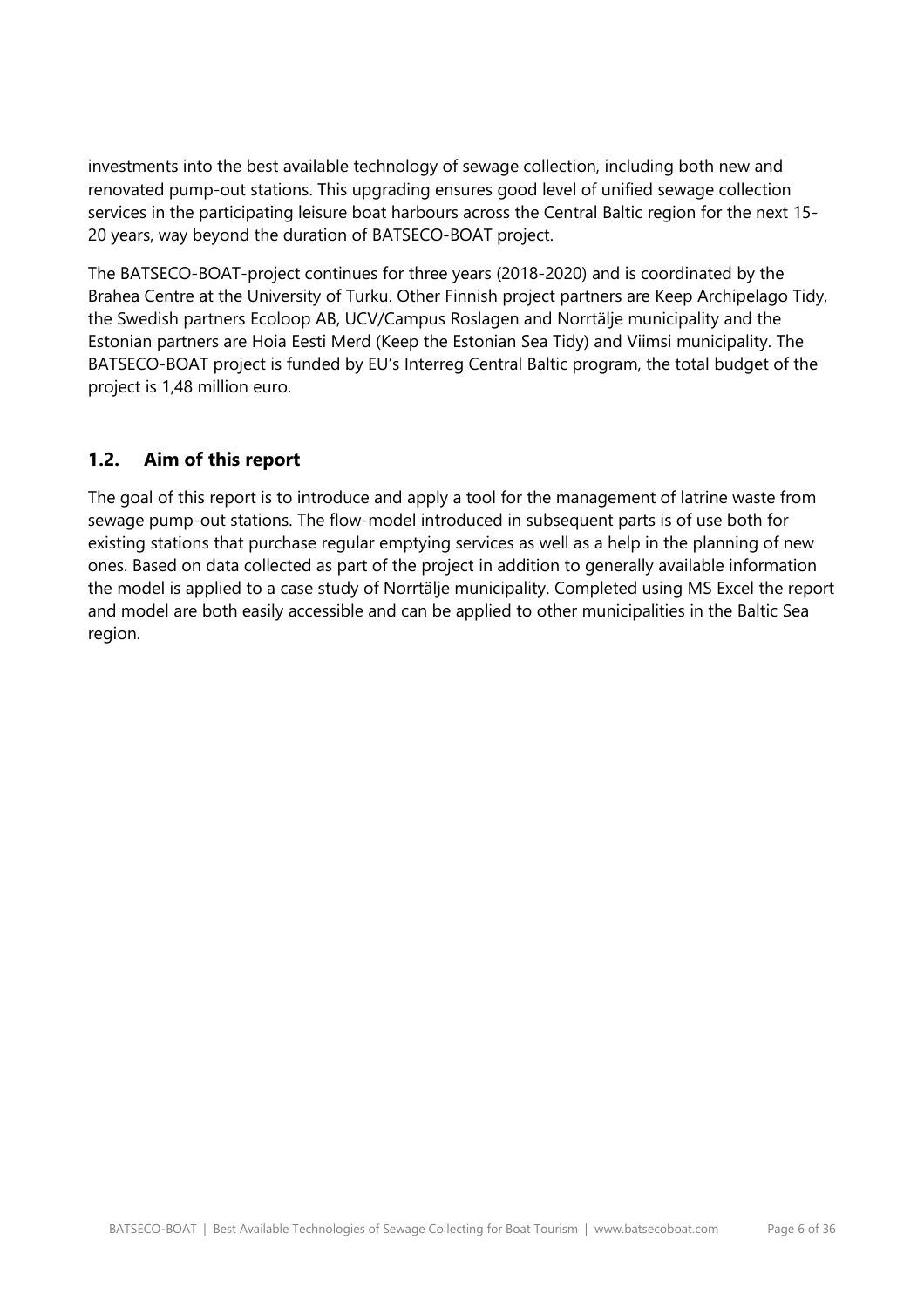investments into the best available technology of sewage collection, including both new and renovated pump-out stations. This upgrading ensures good level of unified sewage collection services in the participating leisure boat harbours across the Central Baltic region for the next 15- 20 years, way beyond the duration of BATSECO-BOAT project.

The BATSECO-BOAT-project continues for three years (2018-2020) and is coordinated by the Brahea Centre at the University of Turku. Other Finnish project partners are Keep Archipelago Tidy, the Swedish partners Ecoloop AB, UCV/Campus Roslagen and Norrtälje municipality and the Estonian partners are Hoia Eesti Merd (Keep the Estonian Sea Tidy) and Viimsi municipality. The BATSECO-BOAT project is funded by EU's Interreg Central Baltic program, the total budget of the project is 1,48 million euro.

# **1.2. Aim of this report**

The goal of this report is to introduce and apply a tool for the management of latrine waste from sewage pump-out stations. The flow-model introduced in subsequent parts is of use both for existing stations that purchase regular emptying services as well as a help in the planning of new ones. Based on data collected as part of the project in addition to generally available information the model is applied to a case study of Norrtälje municipality. Completed using MS Excel the report and model are both easily accessible and can be applied to other municipalities in the Baltic Sea region.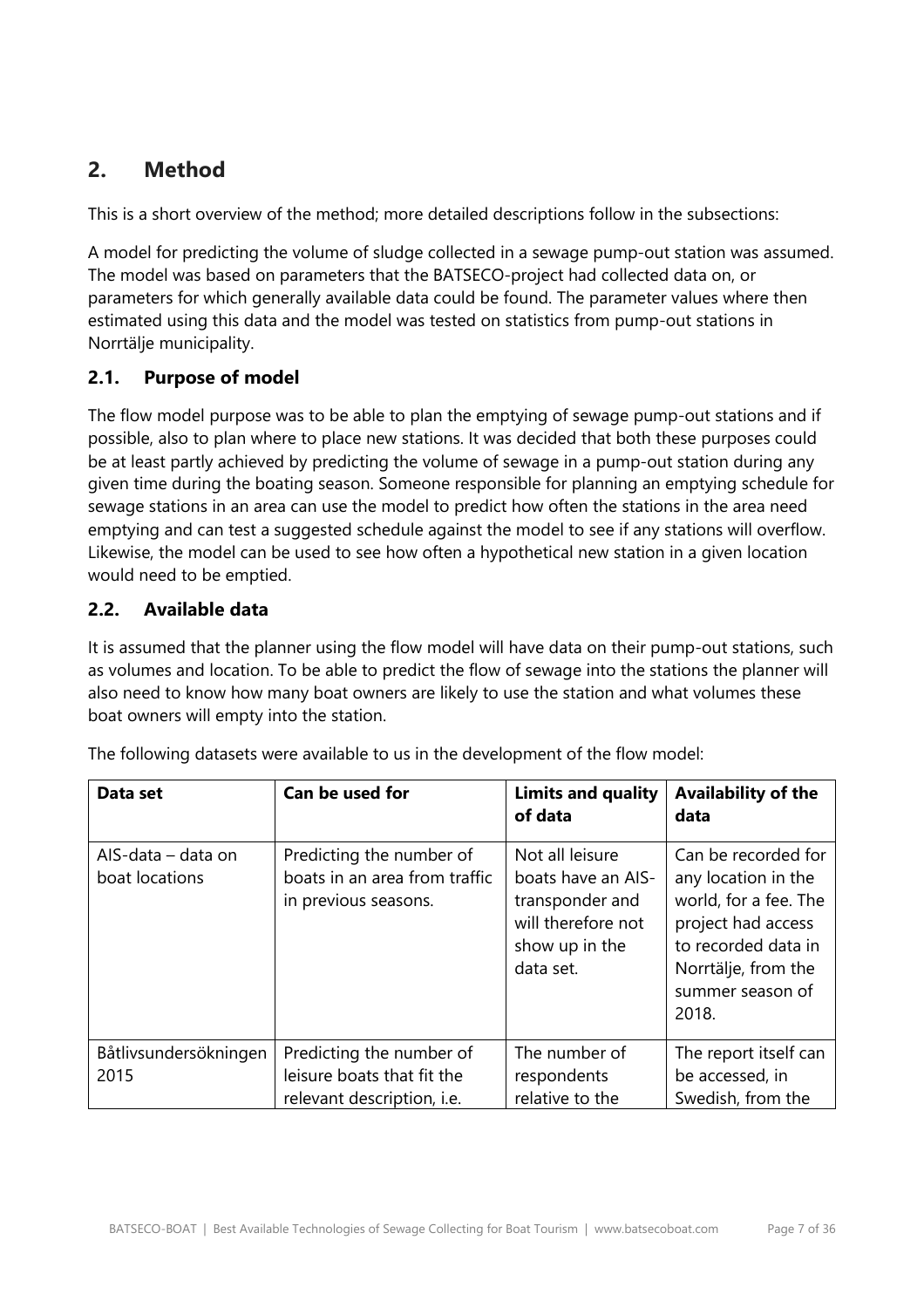# <span id="page-6-0"></span>**2. Method**

This is a short overview of the method; more detailed descriptions follow in the subsections:

A model for predicting the volume of sludge collected in a sewage pump-out station was assumed. The model was based on parameters that the BATSECO-project had collected data on, or parameters for which generally available data could be found. The parameter values where then estimated using this data and the model was tested on statistics from pump-out stations in Norrtälje municipality.

## **2.1. Purpose of model**

The flow model purpose was to be able to plan the emptying of sewage pump-out stations and if possible, also to plan where to place new stations. It was decided that both these purposes could be at least partly achieved by predicting the volume of sewage in a pump-out station during any given time during the boating season. Someone responsible for planning an emptying schedule for sewage stations in an area can use the model to predict how often the stations in the area need emptying and can test a suggested schedule against the model to see if any stations will overflow. Likewise, the model can be used to see how often a hypothetical new station in a given location would need to be emptied.

## **2.2. Available data**

It is assumed that the planner using the flow model will have data on their pump-out stations, such as volumes and location. To be able to predict the flow of sewage into the stations the planner will also need to know how many boat owners are likely to use the station and what volumes these boat owners will empty into the station.

| Data set                             | Can be used for                                                                             | <b>Limits and quality</b><br>of data                                                                          | <b>Availability of the</b><br>data                                                                                                                                   |
|--------------------------------------|---------------------------------------------------------------------------------------------|---------------------------------------------------------------------------------------------------------------|----------------------------------------------------------------------------------------------------------------------------------------------------------------------|
| AIS-data - data on<br>boat locations | Predicting the number of<br>boats in an area from traffic<br>in previous seasons.           | Not all leisure<br>boats have an AIS-<br>transponder and<br>will therefore not<br>show up in the<br>data set. | Can be recorded for<br>any location in the<br>world, for a fee. The<br>project had access<br>to recorded data in<br>Norrtälje, from the<br>summer season of<br>2018. |
| Båtlivsundersökningen<br>2015        | Predicting the number of<br>leisure boats that fit the<br>relevant description, <i>i.e.</i> | The number of<br>respondents<br>relative to the                                                               | The report itself can<br>be accessed, in<br>Swedish, from the                                                                                                        |

The following datasets were available to us in the development of the flow model: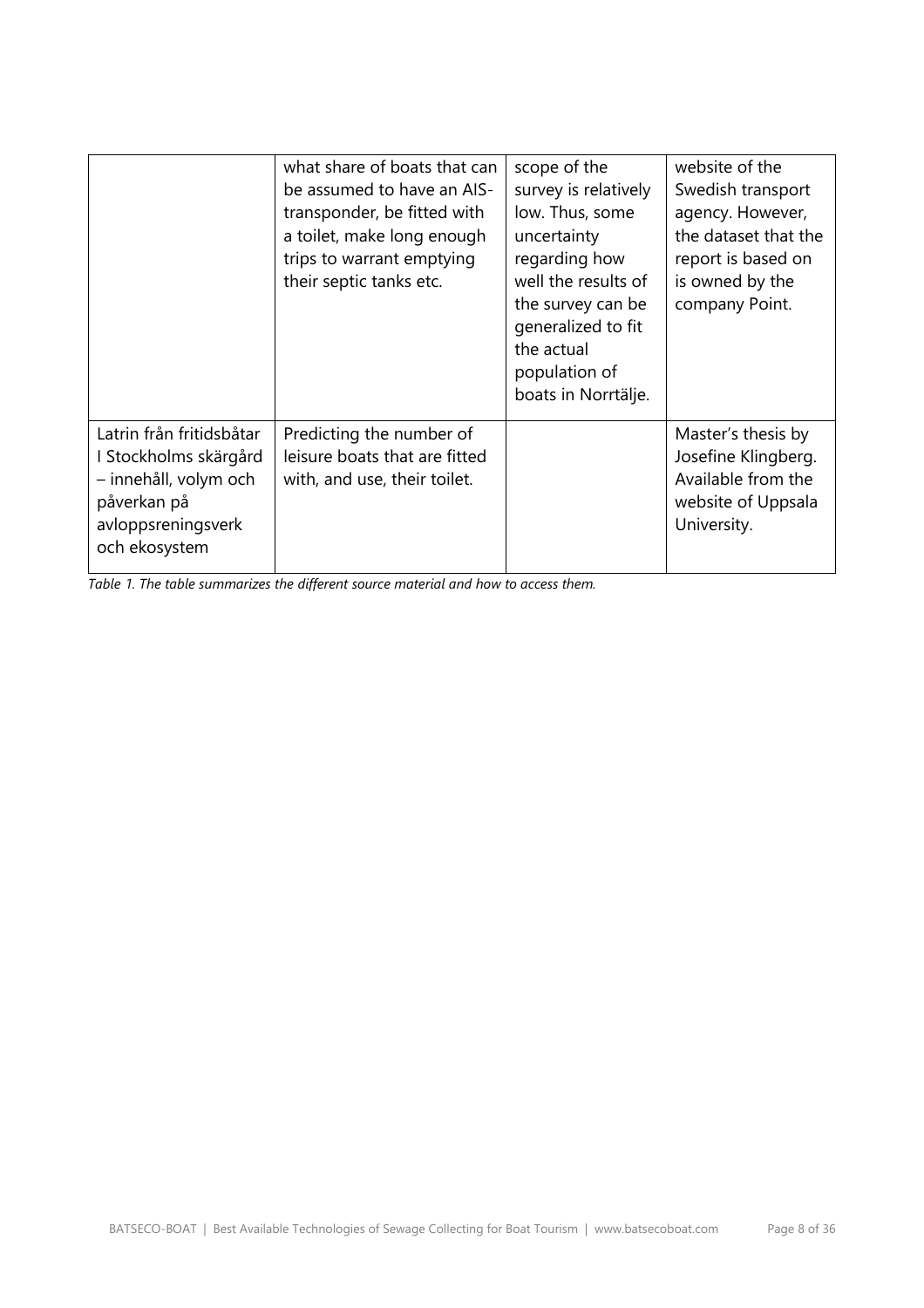|                                                                                                                                  | what share of boats that can<br>be assumed to have an AIS-<br>transponder, be fitted with<br>a toilet, make long enough<br>trips to warrant emptying<br>their septic tanks etc. | scope of the<br>survey is relatively<br>low. Thus, some<br>uncertainty<br>regarding how<br>well the results of<br>the survey can be<br>generalized to fit<br>the actual<br>population of<br>boats in Norrtälje. | website of the<br>Swedish transport<br>agency. However,<br>the dataset that the<br>report is based on<br>is owned by the<br>company Point. |
|----------------------------------------------------------------------------------------------------------------------------------|---------------------------------------------------------------------------------------------------------------------------------------------------------------------------------|-----------------------------------------------------------------------------------------------------------------------------------------------------------------------------------------------------------------|--------------------------------------------------------------------------------------------------------------------------------------------|
| Latrin från fritidsbåtar<br>I Stockholms skärgård<br>- innehåll, volym och<br>påverkan på<br>avloppsreningsverk<br>och ekosystem | Predicting the number of<br>leisure boats that are fitted<br>with, and use, their toilet.                                                                                       |                                                                                                                                                                                                                 | Master's thesis by<br>Josefine Klingberg.<br>Available from the<br>website of Uppsala<br>University.                                       |

*Table 1. The table summarizes the different source material and how to access them.*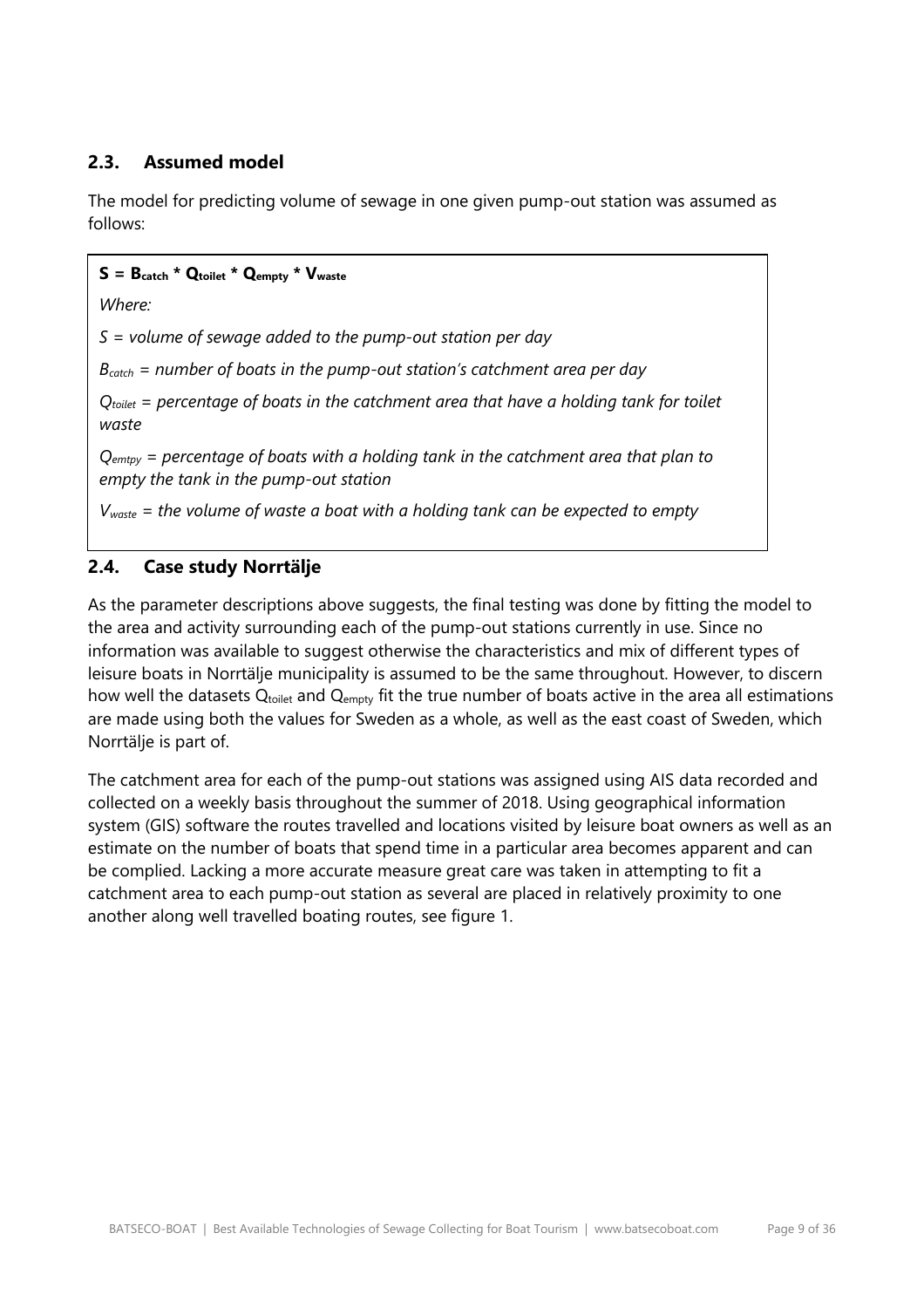## **2.3. Assumed model**

The model for predicting volume of sewage in one given pump-out station was assumed as follows:

#### **S = Bcatch \* Qtoilet \* Qempty \* Vwaste**

*Where:*

*S = volume of sewage added to the pump-out station per day*

*Bcatch = number of boats in the pump-out station's catchment area per day*

*Qtoilet = percentage of boats in the catchment area that have a holding tank for toilet waste*

*Qemtpy = percentage of boats with a holding tank in the catchment area that plan to empty the tank in the pump-out station*

*Vwaste = the volume of waste a boat with a holding tank can be expected to empty*

#### **2.4. Case study Norrtälje**

As the parameter descriptions above suggests, the final testing was done by fitting the model to the area and activity surrounding each of the pump-out stations currently in use. Since no information was available to suggest otherwise the characteristics and mix of different types of leisure boats in Norrtälje municipality is assumed to be the same throughout. However, to discern how well the datasets  $Q_{\text{toilet}}$  and  $Q_{\text{empty}}$  fit the true number of boats active in the area all estimations are made using both the values for Sweden as a whole, as well as the east coast of Sweden, which Norrtälje is part of.

The catchment area for each of the pump-out stations was assigned using AIS data recorded and collected on a weekly basis throughout the summer of 2018. Using geographical information system (GIS) software the routes travelled and locations visited by leisure boat owners as well as an estimate on the number of boats that spend time in a particular area becomes apparent and can be complied. Lacking a more accurate measure great care was taken in attempting to fit a catchment area to each pump-out station as several are placed in relatively proximity to one another along well travelled boating routes, see figure 1.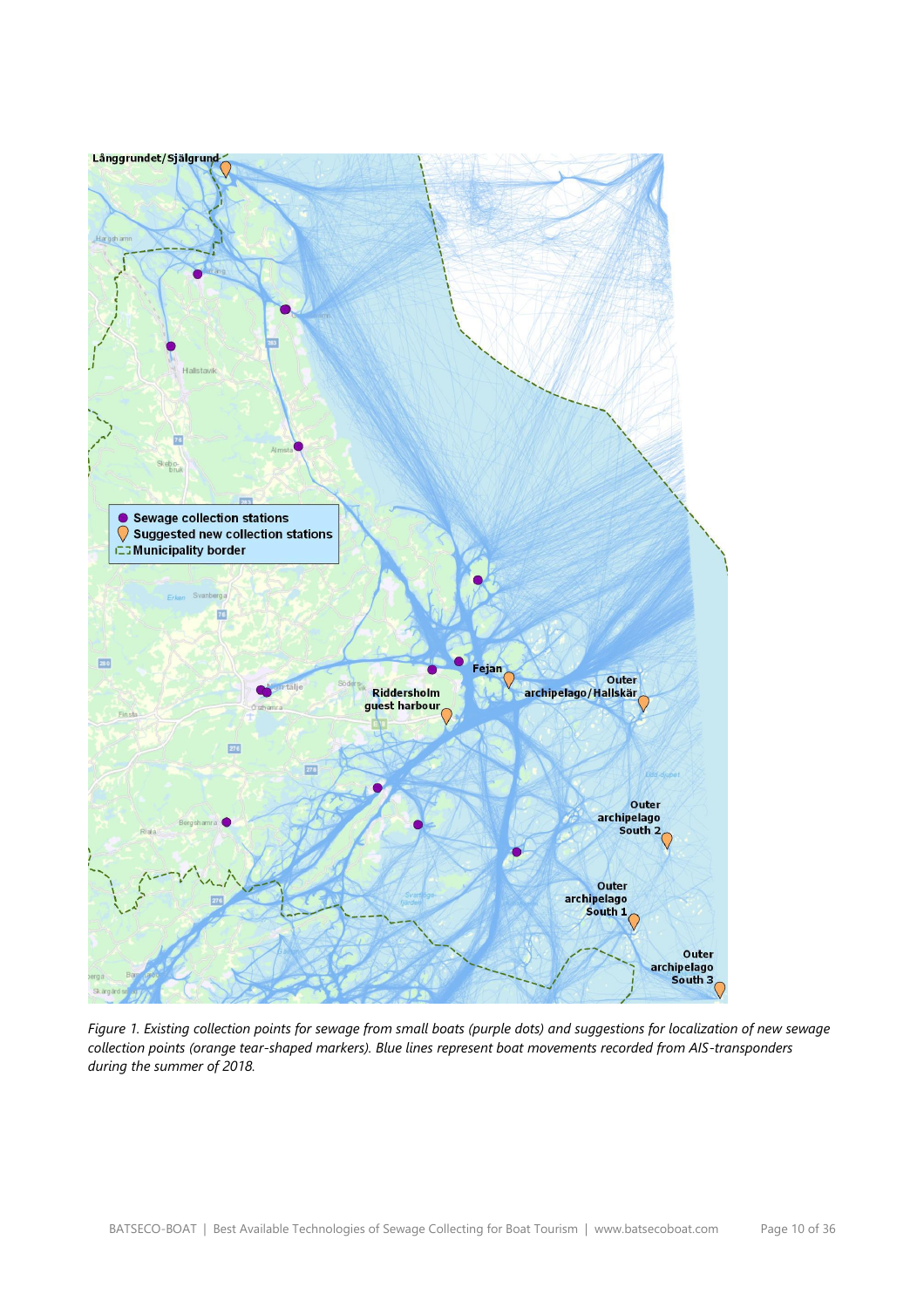

*Figure 1. Existing collection points for sewage from small boats (purple dots) and suggestions for localization of new sewage collection points (orange tear-shaped markers). Blue lines represent boat movements recorded from AIS-transponders during the summer of 2018.*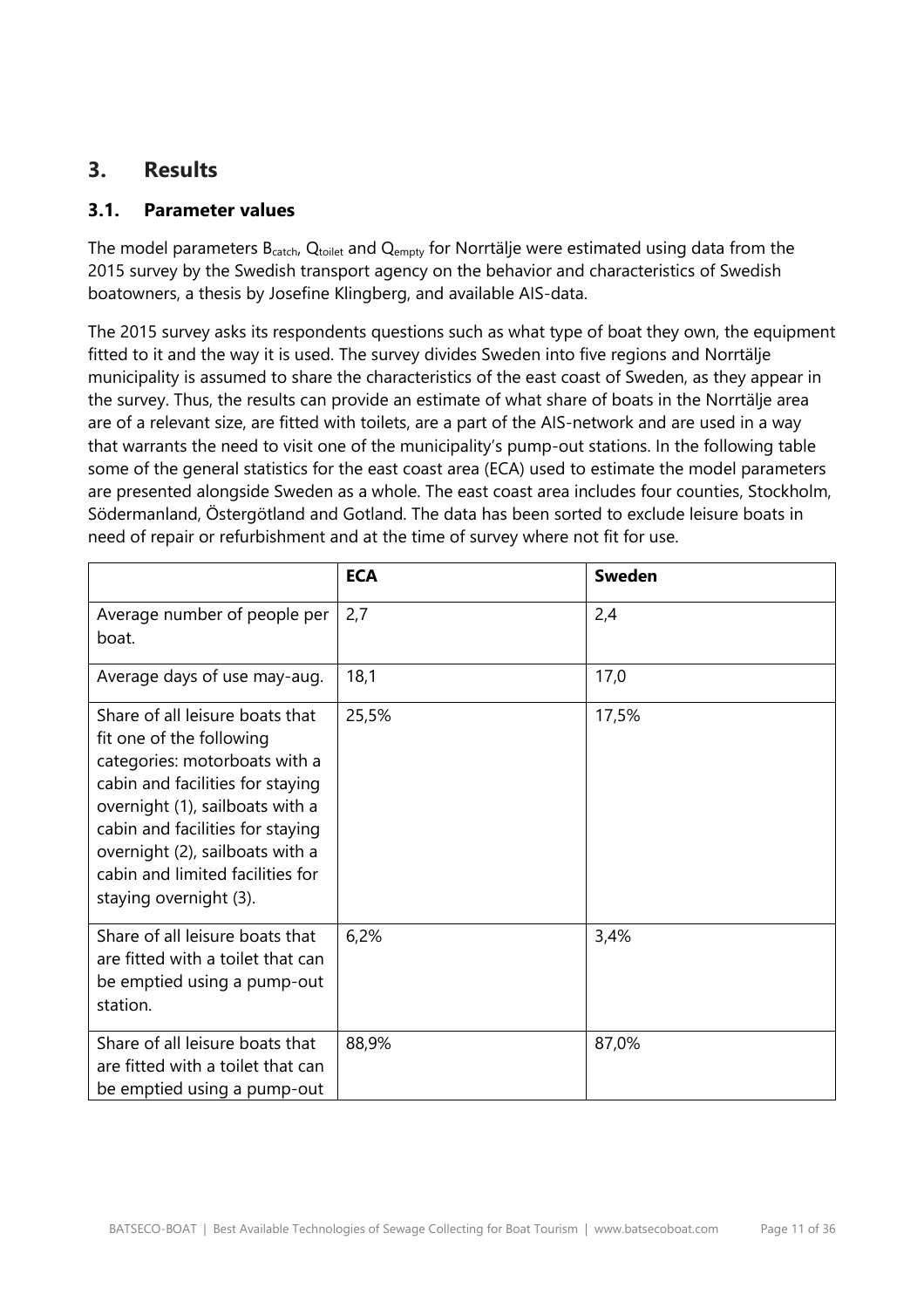# <span id="page-10-0"></span>**3. Results**

#### **3.1. Parameter values**

The model parameters B<sub>catch</sub>, Q<sub>toilet</sub> and Q<sub>empty</sub> for Norrtälje were estimated using data from the 2015 survey by the Swedish transport agency on the behavior and characteristics of Swedish boatowners, a thesis by Josefine Klingberg, and available AIS-data.

The 2015 survey asks its respondents questions such as what type of boat they own, the equipment fitted to it and the way it is used. The survey divides Sweden into five regions and Norrtälje municipality is assumed to share the characteristics of the east coast of Sweden, as they appear in the survey. Thus, the results can provide an estimate of what share of boats in the Norrtälje area are of a relevant size, are fitted with toilets, are a part of the AIS-network and are used in a way that warrants the need to visit one of the municipality's pump-out stations. In the following table some of the general statistics for the east coast area (ECA) used to estimate the model parameters are presented alongside Sweden as a whole. The east coast area includes four counties, Stockholm, Södermanland, Östergötland and Gotland. The data has been sorted to exclude leisure boats in need of repair or refurbishment and at the time of survey where not fit for use.

|                                                                                                                                                                                                                                                                                                          | <b>ECA</b> | <b>Sweden</b> |
|----------------------------------------------------------------------------------------------------------------------------------------------------------------------------------------------------------------------------------------------------------------------------------------------------------|------------|---------------|
| Average number of people per<br>boat.                                                                                                                                                                                                                                                                    | 2,7        | 2,4           |
| Average days of use may-aug.                                                                                                                                                                                                                                                                             | 18,1       | 17,0          |
| Share of all leisure boats that<br>fit one of the following<br>categories: motorboats with a<br>cabin and facilities for staying<br>overnight (1), sailboats with a<br>cabin and facilities for staying<br>overnight (2), sailboats with a<br>cabin and limited facilities for<br>staying overnight (3). | 25,5%      | 17,5%         |
| Share of all leisure boats that<br>are fitted with a toilet that can<br>be emptied using a pump-out<br>station.                                                                                                                                                                                          | 6,2%       | 3,4%          |
| Share of all leisure boats that<br>are fitted with a toilet that can<br>be emptied using a pump-out                                                                                                                                                                                                      | 88,9%      | 87,0%         |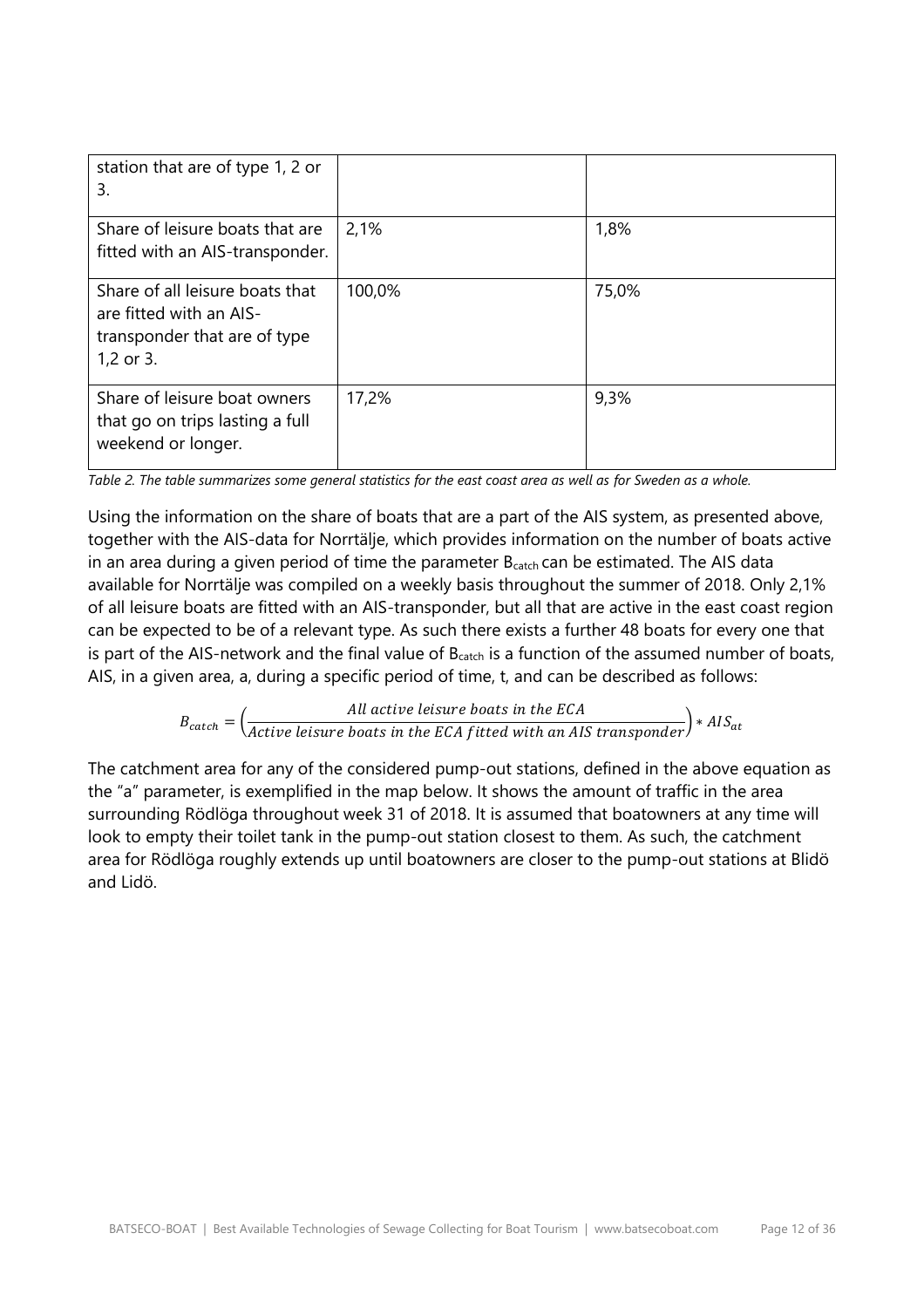| station that are of type 1, 2 or<br>3.                                                                  |        |       |
|---------------------------------------------------------------------------------------------------------|--------|-------|
| Share of leisure boats that are<br>fitted with an AIS-transponder.                                      | 2,1%   | 1,8%  |
| Share of all leisure boats that<br>are fitted with an AIS-<br>transponder that are of type<br>1,2 or 3. | 100,0% | 75,0% |
| Share of leisure boat owners<br>that go on trips lasting a full<br>weekend or longer.                   | 17,2%  | 9,3%  |

*Table 2. The table summarizes some general statistics for the east coast area as well as for Sweden as a whole.*

Using the information on the share of boats that are a part of the AIS system, as presented above, together with the AIS-data for Norrtälje, which provides information on the number of boats active in an area during a given period of time the parameter  $B<sub>catch</sub>$  can be estimated. The AIS data available for Norrtälje was compiled on a weekly basis throughout the summer of 2018. Only 2,1% of all leisure boats are fitted with an AIS-transponder, but all that are active in the east coast region can be expected to be of a relevant type. As such there exists a further 48 boats for every one that is part of the AIS-network and the final value of  $B<sub>catch</sub>$  is a function of the assumed number of boats, AIS, in a given area, a, during a specific period of time, t, and can be described as follows:

 $B_{catch} = \Big(\frac{All\ active\ leisure\ basisure\ boats\ in\ the\ ECA}{Active\ leisure\ boats\ in\ the\ ECA\ fitted\ with\ an\ AIS\ transport}\Big)*AIS_{at}$ 

The catchment area for any of the considered pump-out stations, defined in the above equation as the "a" parameter, is exemplified in the map below. It shows the amount of traffic in the area surrounding Rödlöga throughout week 31 of 2018. It is assumed that boatowners at any time will look to empty their toilet tank in the pump-out station closest to them. As such, the catchment area for Rödlöga roughly extends up until boatowners are closer to the pump-out stations at Blidö and Lidö.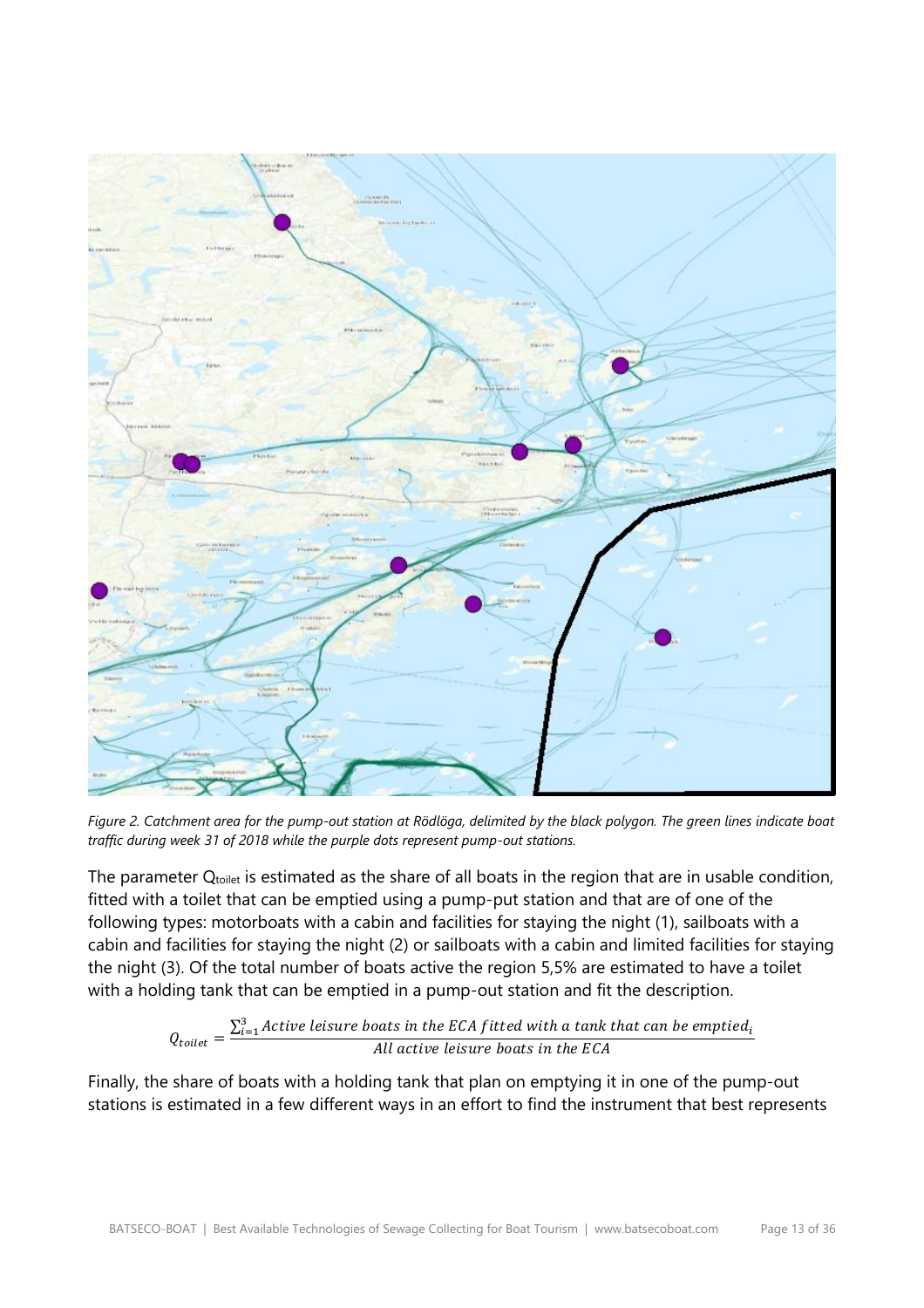

*Figure 2. Catchment area for the pump-out station at Rödlöga, delimited by the black polygon. The green lines indicate boat traffic during week 31 of 2018 while the purple dots represent pump-out stations.*

The parameter  $Q_{\text{toilet}}$  is estimated as the share of all boats in the region that are in usable condition, fitted with a toilet that can be emptied using a pump-put station and that are of one of the following types: motorboats with a cabin and facilities for staying the night (1), sailboats with a cabin and facilities for staying the night (2) or sailboats with a cabin and limited facilities for staying the night (3). Of the total number of boats active the region 5,5% are estimated to have a toilet with a holding tank that can be emptied in a pump-out station and fit the description.

$$
Q_{\text{toilet}} = \frac{\sum_{i=1}^{3} Active \text{ leisure boats in the ECA fitted with a tank that can be emptied}_{i}}{All \text{ active leisure boats in the ECA}}
$$

Finally, the share of boats with a holding tank that plan on emptying it in one of the pump-out stations is estimated in a few different ways in an effort to find the instrument that best represents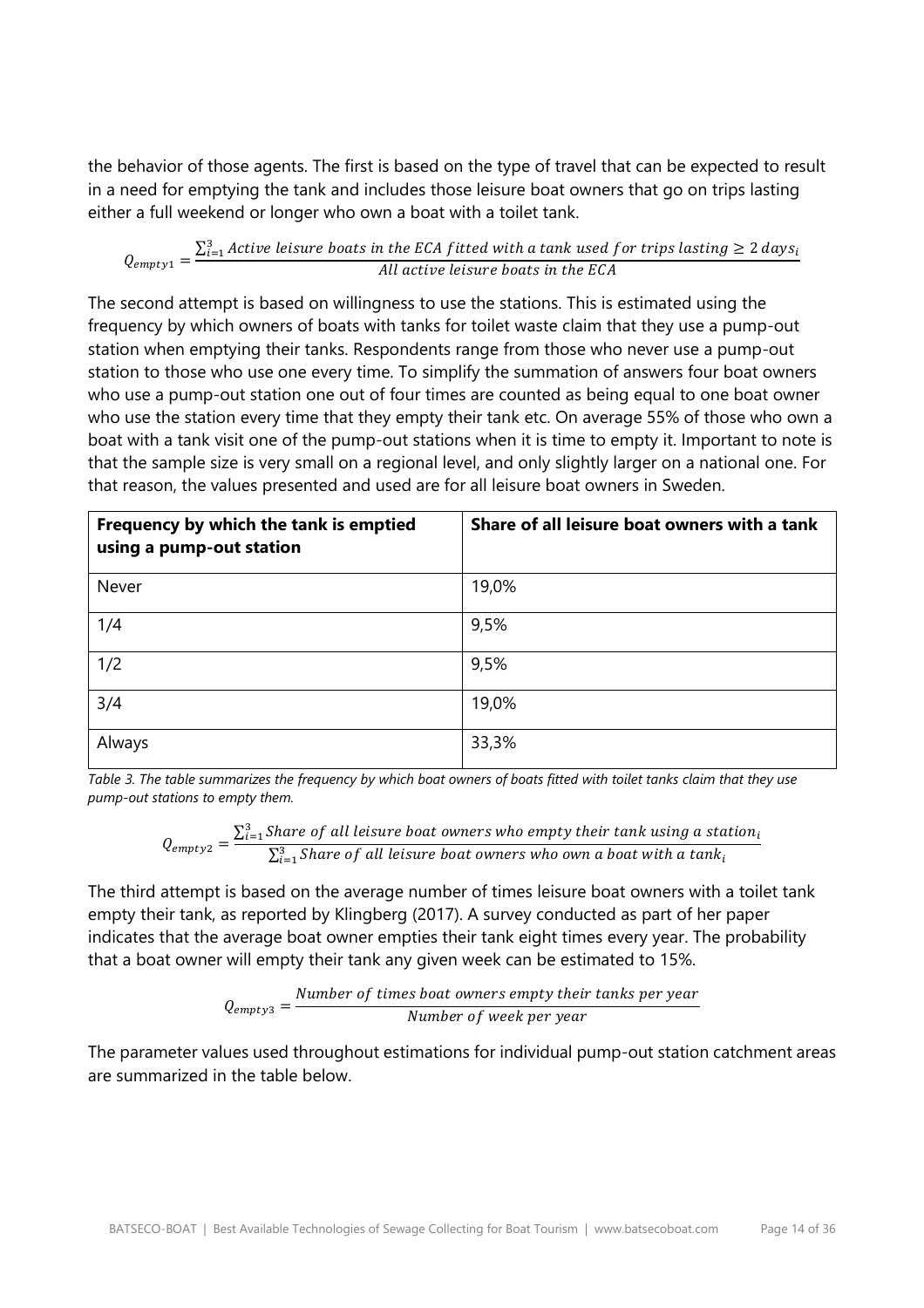the behavior of those agents. The first is based on the type of travel that can be expected to result in a need for emptying the tank and includes those leisure boat owners that go on trips lasting either a full weekend or longer who own a boat with a toilet tank.

$$
Q_{empty1} = \frac{\sum_{i=1}^{3} Active\ leisure\ boats\ in\ the\ ECA\ fitted\ with\ a\ tank\ used\ for\ trips\ lasting\geq 2\ days_i}{All\ active\ leisure\ boats\ in\ the\ ECA}
$$

The second attempt is based on willingness to use the stations. This is estimated using the frequency by which owners of boats with tanks for toilet waste claim that they use a pump-out station when emptying their tanks. Respondents range from those who never use a pump-out station to those who use one every time. To simplify the summation of answers four boat owners who use a pump-out station one out of four times are counted as being equal to one boat owner who use the station every time that they empty their tank etc. On average 55% of those who own a boat with a tank visit one of the pump-out stations when it is time to empty it. Important to note is that the sample size is very small on a regional level, and only slightly larger on a national one. For that reason, the values presented and used are for all leisure boat owners in Sweden.

| Frequency by which the tank is emptied<br>using a pump-out station | Share of all leisure boat owners with a tank |
|--------------------------------------------------------------------|----------------------------------------------|
| Never                                                              | 19,0%                                        |
| 1/4                                                                | 9,5%                                         |
| 1/2                                                                | 9,5%                                         |
| 3/4                                                                | 19,0%                                        |
| Always                                                             | 33,3%                                        |

*Table 3. The table summarizes the frequency by which boat owners of boats fitted with toilet tanks claim that they use pump-out stations to empty them.*

$$
Q_{empty2} = \frac{\sum_{i=1}^{3}Share\ of\ all\ leisure\ boat\ owners\ who\ empty\ their\ tank\ using\ a\ station_{i}}{\sum_{i=1}^{3}Share\ of\ all\ leisure\ boat\ owners\ who\ own\ a\ boat\ with\ a\ tank_{i}}
$$

The third attempt is based on the average number of times leisure boat owners with a toilet tank empty their tank, as reported by Klingberg (2017). A survey conducted as part of her paper indicates that the average boat owner empties their tank eight times every year. The probability that a boat owner will empty their tank any given week can be estimated to 15%.

$$
Q_{empty3} = \frac{Number\ of\ times\ boat\ owners\ empty\ their\ tanks\ per\ year}{Number\ of\ week\ per\ year}
$$

The parameter values used throughout estimations for individual pump-out station catchment areas are summarized in the table below.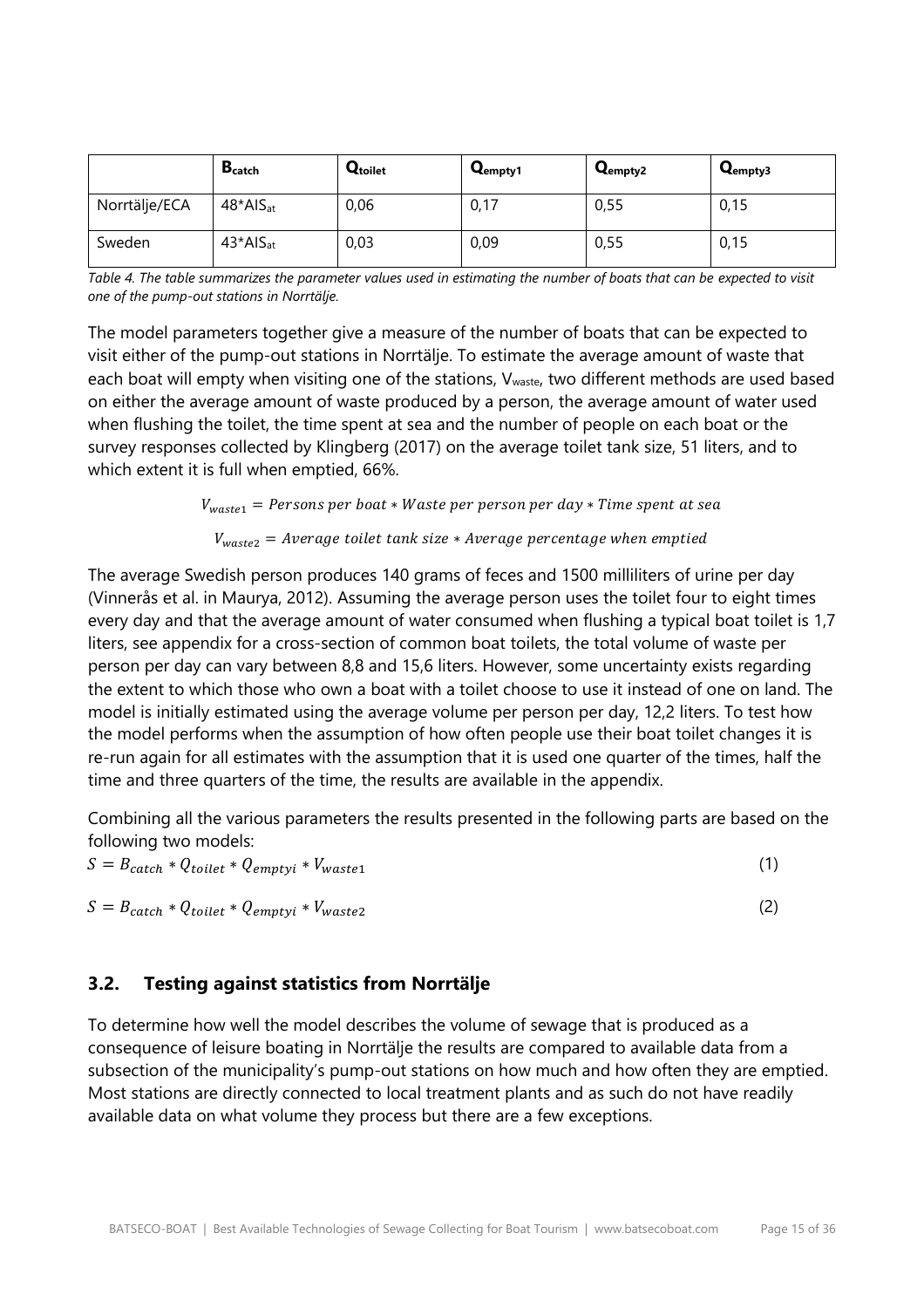|               | <b>B</b> catch          | Qtoilet | Q <sub>empty1</sub> | Q <sub>empty2</sub> | Q <sub>empty3</sub> |
|---------------|-------------------------|---------|---------------------|---------------------|---------------------|
| Norrtälje/ECA | $48*$ AIS <sub>at</sub> | 0,06    | 0,17                | 0,55                | 0,15                |
| Sweden        | $43*$ Al $S_{at}$       | 0,03    | 0,09                | 0,55                | 0,15                |

*Table 4. The table summarizes the parameter values used in estimating the number of boats that can be expected to visit one of the pump-out stations in Norrtälje.*

The model parameters together give a measure of the number of boats that can be expected to visit either of the pump-out stations in Norrtälje. To estimate the average amount of waste that each boat will empty when visiting one of the stations,  $V_{waste}$ , two different methods are used based on either the average amount of waste produced by a person, the average amount of water used when flushing the toilet, the time spent at sea and the number of people on each boat or the survey responses collected by Klingberg (2017) on the average toilet tank size, 51 liters, and to which extent it is full when emptied, 66%.

#### $V_{waste1}$  = Persons per boat \* Waste per person per day \* Time spent at sea

#### $V_{waste2}$  = Average toilet tank size  $*$  Average percentage when emptied

The average Swedish person produces 140 grams of feces and 1500 milliliters of urine per day (Vinnerås et al. in Maurya, 2012). Assuming the average person uses the toilet four to eight times every day and that the average amount of water consumed when flushing a typical boat toilet is 1,7 liters, see appendix for a cross-section of common boat toilets, the total volume of waste per person per day can vary between 8,8 and 15,6 liters. However, some uncertainty exists regarding the extent to which those who own a boat with a toilet choose to use it instead of one on land. The model is initially estimated using the average volume per person per day, 12,2 liters. To test how the model performs when the assumption of how often people use their boat toilet changes it is re-run again for all estimates with the assumption that it is used one quarter of the times, half the time and three quarters of the time, the results are available in the appendix.

Combining all the various parameters the results presented in the following parts are based on the following two models:

| $S = B_{catch} * Q_{toilet} * Q_{emptyi} * V_{waste1}$ |  |
|--------------------------------------------------------|--|
| $S = B_{catch} * Q_{toilet} * Q_{emptyi} * V_{waste2}$ |  |

## **3.2. Testing against statistics from Norrtälje**

To determine how well the model describes the volume of sewage that is produced as a consequence of leisure boating in Norrtälje the results are compared to available data from a subsection of the municipality's pump-out stations on how much and how often they are emptied. Most stations are directly connected to local treatment plants and as such do not have readily available data on what volume they process but there are a few exceptions.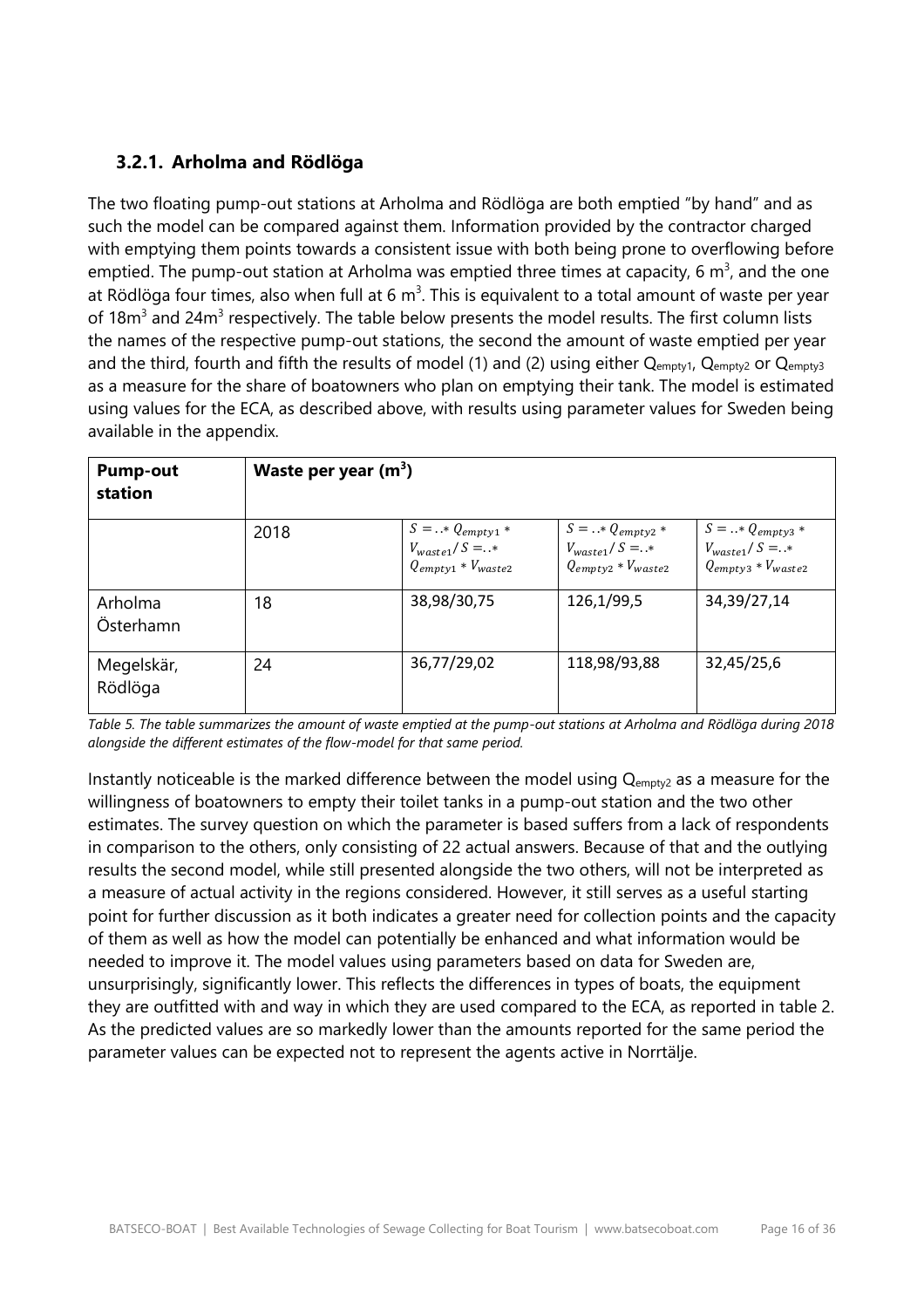# **3.2.1. Arholma and Rödlöga**

The two floating pump-out stations at Arholma and Rödlöga are both emptied "by hand" and as such the model can be compared against them. Information provided by the contractor charged with emptying them points towards a consistent issue with both being prone to overflowing before emptied. The pump-out station at Arholma was emptied three times at capacity, 6  $m^3$ , and the one at Rödlöga four times, also when full at 6 m<sup>3</sup>. This is equivalent to a total amount of waste per year of 18 $m<sup>3</sup>$  and 24 $m<sup>3</sup>$  respectively. The table below presents the model results. The first column lists the names of the respective pump-out stations, the second the amount of waste emptied per year and the third, fourth and fifth the results of model (1) and (2) using either  $Q_{\text{empty1}}$ ,  $Q_{\text{empty2}}$  or  $Q_{\text{empty3}}$ as a measure for the share of boatowners who plan on emptying their tank. The model is estimated using values for the ECA, as described above, with results using parameter values for Sweden being available in the appendix.

| <b>Pump-out</b><br>station | Waste per year $(m^3)$ |                                                                                 |                                                                           |                                                                           |
|----------------------------|------------------------|---------------------------------------------------------------------------------|---------------------------------------------------------------------------|---------------------------------------------------------------------------|
|                            | 2018                   | $S = \ldots * Q_{empty1} *$<br>$V_{waste1}/S = .*$<br>$Q_{empty1} * V_{waste2}$ | $S =  * Q_{empty2} *$<br>$V_{waste1}/S = .*$<br>$Q_{empty2} * V_{waste2}$ | $S =  * Q_{empty3} *$<br>$V_{waste1}/S = .*$<br>$Q_{empty3} * V_{waste2}$ |
| Arholma<br>Österhamn       | 18                     | 38,98/30,75                                                                     | 126,1/99,5                                                                | 34,39/27,14                                                               |
| Megelskär,<br>Rödlöga      | 24                     | 36,77/29,02                                                                     | 118,98/93,88                                                              | 32,45/25,6                                                                |

*Table 5. The table summarizes the amount of waste emptied at the pump-out stations at Arholma and Rödlöga during 2018 alongside the different estimates of the flow-model for that same period.*

Instantly noticeable is the marked difference between the model using Q<sub>empty2</sub> as a measure for the willingness of boatowners to empty their toilet tanks in a pump-out station and the two other estimates. The survey question on which the parameter is based suffers from a lack of respondents in comparison to the others, only consisting of 22 actual answers. Because of that and the outlying results the second model, while still presented alongside the two others, will not be interpreted as a measure of actual activity in the regions considered. However, it still serves as a useful starting point for further discussion as it both indicates a greater need for collection points and the capacity of them as well as how the model can potentially be enhanced and what information would be needed to improve it. The model values using parameters based on data for Sweden are, unsurprisingly, significantly lower. This reflects the differences in types of boats, the equipment they are outfitted with and way in which they are used compared to the ECA, as reported in table 2. As the predicted values are so markedly lower than the amounts reported for the same period the parameter values can be expected not to represent the agents active in Norrtälje.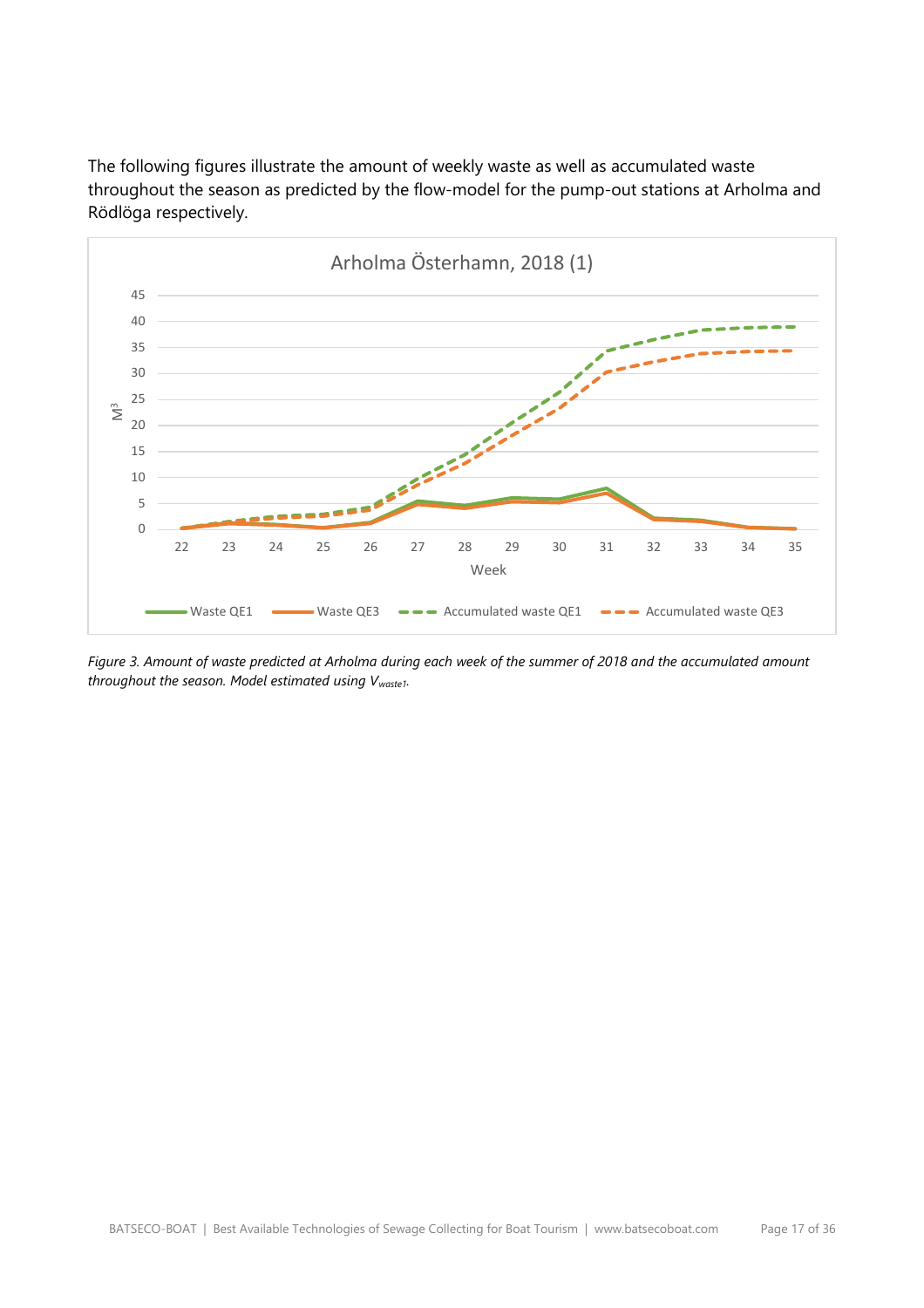The following figures illustrate the amount of weekly waste as well as accumulated waste throughout the season as predicted by the flow-model for the pump-out stations at Arholma and Rödlöga respectively.



*Figure 3. Amount of waste predicted at Arholma during each week of the summer of 2018 and the accumulated amount throughout the season. Model estimated using Vwaste1.*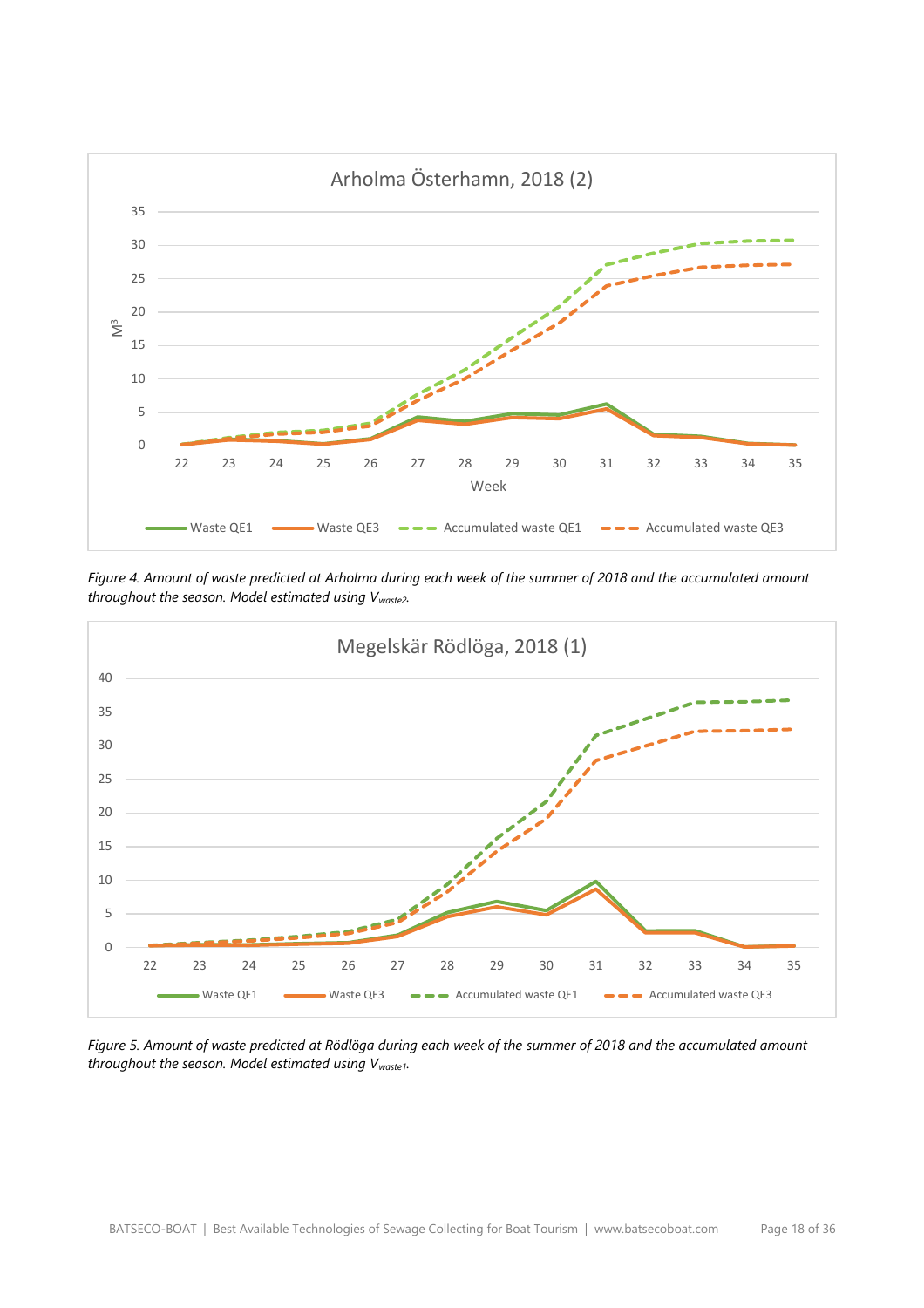

*Figure 4. Amount of waste predicted at Arholma during each week of the summer of 2018 and the accumulated amount throughout the season. Model estimated using Vwaste2.*



*Figure 5. Amount of waste predicted at Rödlöga during each week of the summer of 2018 and the accumulated amount throughout the season. Model estimated using Vwaste1.*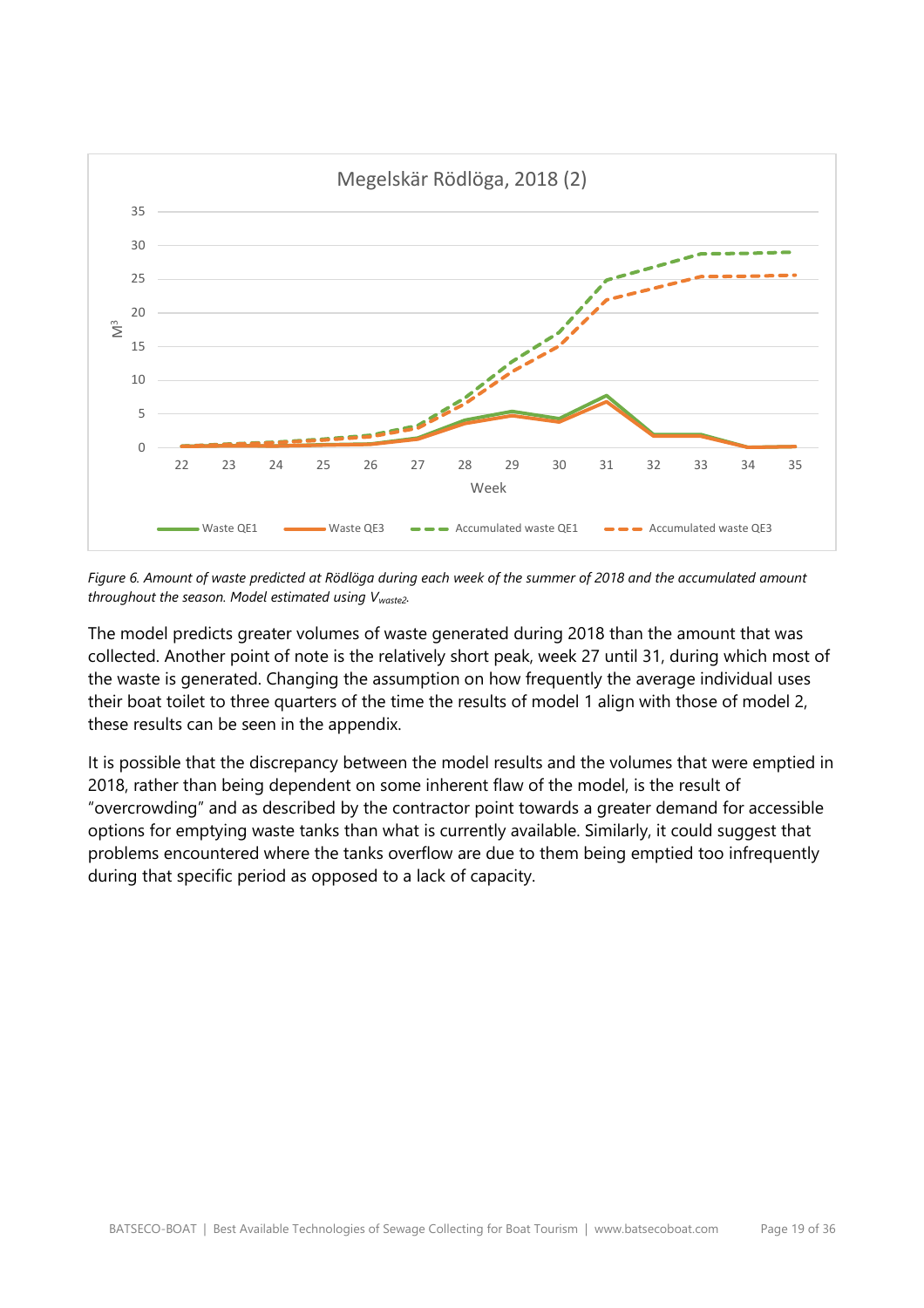

*Figure 6. Amount of waste predicted at Rödlöga during each week of the summer of 2018 and the accumulated amount throughout the season. Model estimated using Vwaste2.*

The model predicts greater volumes of waste generated during 2018 than the amount that was collected. Another point of note is the relatively short peak, week 27 until 31, during which most of the waste is generated. Changing the assumption on how frequently the average individual uses their boat toilet to three quarters of the time the results of model 1 align with those of model 2, these results can be seen in the appendix.

It is possible that the discrepancy between the model results and the volumes that were emptied in 2018, rather than being dependent on some inherent flaw of the model, is the result of "overcrowding" and as described by the contractor point towards a greater demand for accessible options for emptying waste tanks than what is currently available. Similarly, it could suggest that problems encountered where the tanks overflow are due to them being emptied too infrequently during that specific period as opposed to a lack of capacity.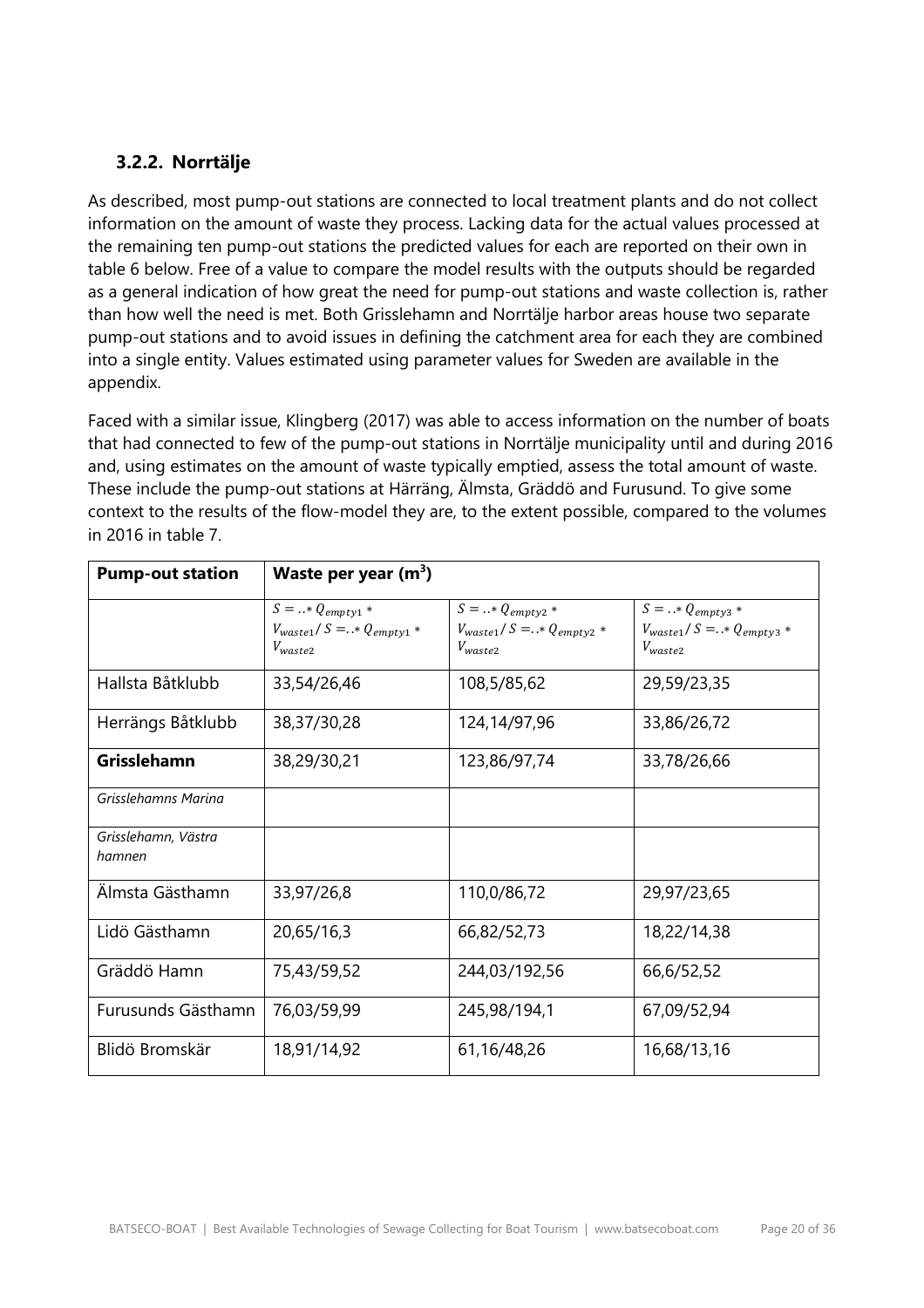# **3.2.2. Norrtälje**

As described, most pump-out stations are connected to local treatment plants and do not collect information on the amount of waste they process. Lacking data for the actual values processed at the remaining ten pump-out stations the predicted values for each are reported on their own in table 6 below. Free of a value to compare the model results with the outputs should be regarded as a general indication of how great the need for pump-out stations and waste collection is, rather than how well the need is met. Both Grisslehamn and Norrtälje harbor areas house two separate pump-out stations and to avoid issues in defining the catchment area for each they are combined into a single entity. Values estimated using parameter values for Sweden are available in the appendix.

Faced with a similar issue, Klingberg (2017) was able to access information on the number of boats that had connected to few of the pump-out stations in Norrtälje municipality until and during 2016 and, using estimates on the amount of waste typically emptied, assess the total amount of waste. These include the pump-out stations at Härräng, Älmsta, Gräddö and Furusund. To give some context to the results of the flow-model they are, to the extent possible, compared to the volumes in 2016 in table 7.

| <b>Pump-out station</b>       | Waste per year $(m^3)$                                                    |                                                                              |                                                                              |
|-------------------------------|---------------------------------------------------------------------------|------------------------------------------------------------------------------|------------------------------------------------------------------------------|
|                               | $S =  * Q_{empty1} *$<br>$V_{waste1}/S = .* Q_{empty1} *$<br>$V_{waste2}$ | $S = .$ * $Q_{empty2}$ *<br>$V_{waste1}/S = .* Q_{empty2} *$<br>$V_{waste2}$ | $S = .$ * $Q_{empty3}$ *<br>$V_{waste1}/S = .* Q_{empty3} *$<br>$V_{waste2}$ |
| Hallsta Båtklubb              | 33,54/26,46                                                               | 108,5/85,62                                                                  | 29,59/23,35                                                                  |
| Herrängs Båtklubb             | 38,37/30,28                                                               | 124, 14/97, 96                                                               | 33,86/26,72                                                                  |
| Grisslehamn                   | 38,29/30,21                                                               | 123,86/97,74                                                                 | 33,78/26,66                                                                  |
| Grisslehamns Marina           |                                                                           |                                                                              |                                                                              |
| Grisslehamn, Västra<br>hamnen |                                                                           |                                                                              |                                                                              |
| Älmsta Gästhamn               | 33,97/26,8                                                                | 110,0/86,72                                                                  | 29,97/23,65                                                                  |
| Lidö Gästhamn                 | 20,65/16,3                                                                | 66,82/52,73                                                                  | 18,22/14,38                                                                  |
| Gräddö Hamn                   | 75,43/59,52                                                               | 244,03/192,56                                                                | 66,6/52,52                                                                   |
| Furusunds Gästhamn            | 76,03/59,99                                                               | 245,98/194,1                                                                 | 67,09/52,94                                                                  |
| Blidö Bromskär                | 18,91/14,92                                                               | 61,16/48,26                                                                  | 16,68/13,16                                                                  |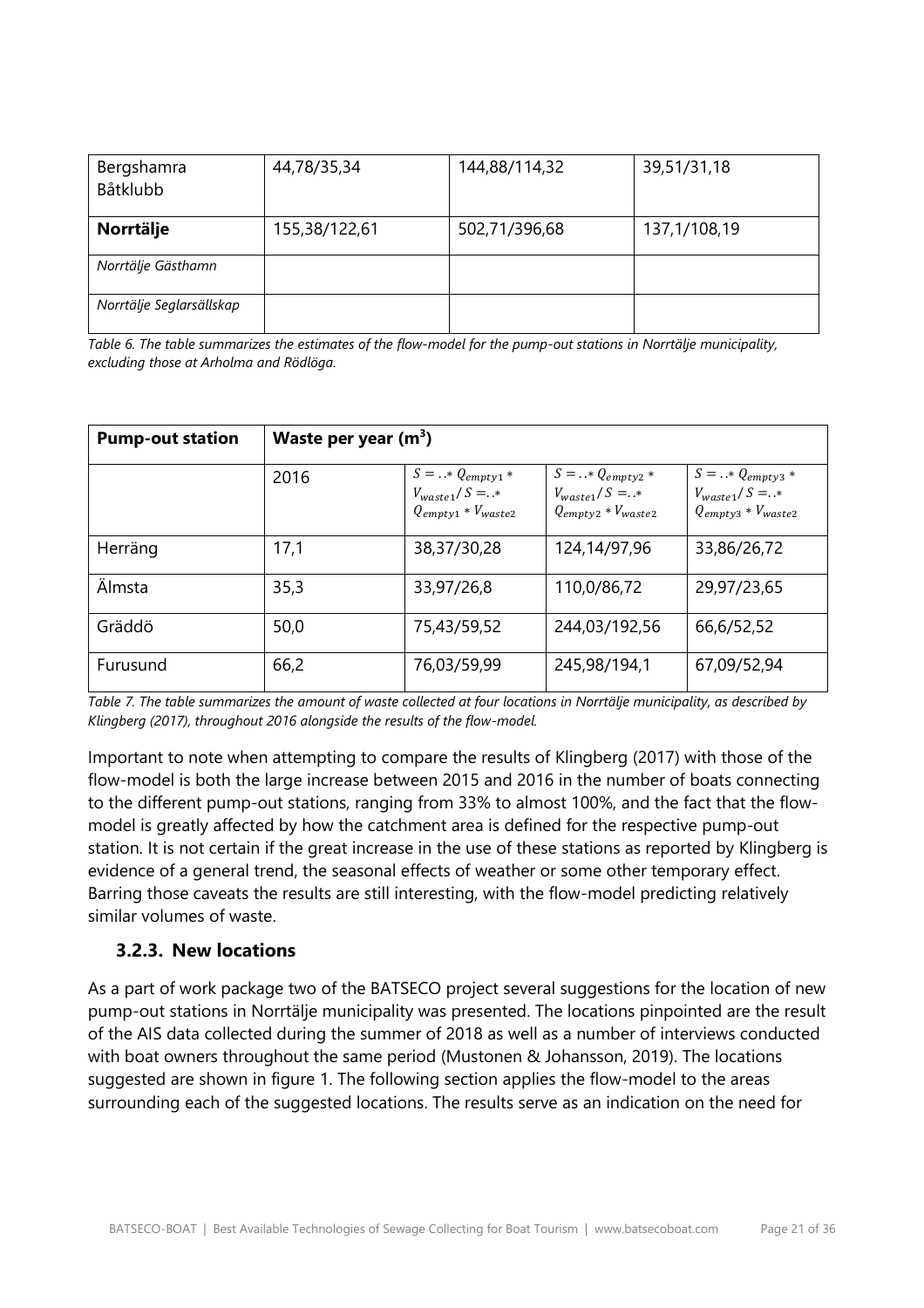| Bergshamra<br>Båtklubb   | 44,78/35,34   | 144,88/114,32 | 39,51/31,18  |
|--------------------------|---------------|---------------|--------------|
| Norrtälje                | 155,38/122,61 | 502,71/396,68 | 137,1/108,19 |
| Norrtälje Gästhamn       |               |               |              |
| Norrtälje Seglarsällskap |               |               |              |

*Table 6. The table summarizes the estimates of the flow-model for the pump-out stations in Norrtälje municipality, excluding those at Arholma and Rödlöga.*

| <b>Pump-out station</b> | Waste per year $(m^3)$ |                                                                           |                                                                         |                                                                            |  |
|-------------------------|------------------------|---------------------------------------------------------------------------|-------------------------------------------------------------------------|----------------------------------------------------------------------------|--|
|                         | 2016                   | $S =  * Q_{empty1} *$<br>$V_{waste1}/S =$ .*<br>$Q_{empty1} * V_{waste2}$ | $S =  * Q_{empty2}$<br>$V_{waste1}/S =$ .*<br>$Q_{empty2} * V_{waste2}$ | $S =  * Q_{empty3} *$<br>$V_{waste1}/S = .$ *<br>$Q_{empty3} * V_{waste2}$ |  |
| Herräng                 | 17,1                   | 38,37/30,28                                                               | 124,14/97,96                                                            | 33,86/26,72                                                                |  |
| Älmsta                  | 35,3                   | 33,97/26,8                                                                | 110,0/86,72                                                             | 29,97/23,65                                                                |  |
| Gräddö                  | 50,0                   | 75,43/59,52                                                               | 244,03/192,56                                                           | 66,6/52,52                                                                 |  |
| Furusund                | 66,2                   | 76,03/59,99                                                               | 245,98/194,1                                                            | 67,09/52,94                                                                |  |

*Table 7. The table summarizes the amount of waste collected at four locations in Norrtälje municipality, as described by Klingberg (2017), throughout 2016 alongside the results of the flow-model.*

Important to note when attempting to compare the results of Klingberg (2017) with those of the flow-model is both the large increase between 2015 and 2016 in the number of boats connecting to the different pump-out stations, ranging from 33% to almost 100%, and the fact that the flowmodel is greatly affected by how the catchment area is defined for the respective pump-out station. It is not certain if the great increase in the use of these stations as reported by Klingberg is evidence of a general trend, the seasonal effects of weather or some other temporary effect. Barring those caveats the results are still interesting, with the flow-model predicting relatively similar volumes of waste.

#### **3.2.3. New locations**

As a part of work package two of the BATSECO project several suggestions for the location of new pump-out stations in Norrtälje municipality was presented. The locations pinpointed are the result of the AIS data collected during the summer of 2018 as well as a number of interviews conducted with boat owners throughout the same period (Mustonen & Johansson, 2019). The locations suggested are shown in figure 1. The following section applies the flow-model to the areas surrounding each of the suggested locations. The results serve as an indication on the need for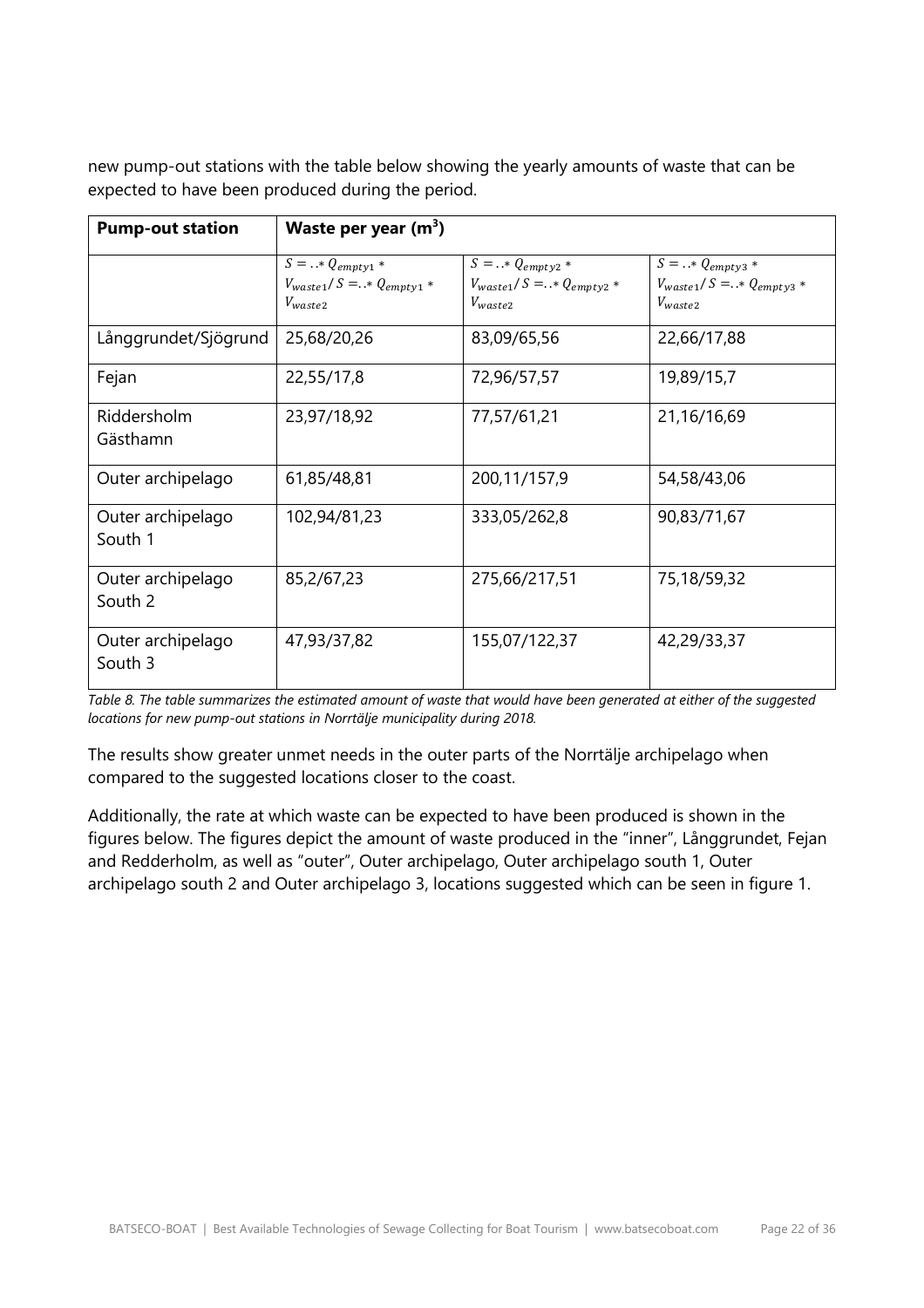new pump-out stations with the table below showing the yearly amounts of waste that can be expected to have been produced during the period.

| <b>Pump-out station</b>        | Waste per year $(m^3)$                                                     |                                                                         |                                                                           |  |
|--------------------------------|----------------------------------------------------------------------------|-------------------------------------------------------------------------|---------------------------------------------------------------------------|--|
|                                | $S =  * Q_{empty1} *$<br>$V_{waste1}/S = . * Q_{empty1} *$<br>$V_{waste2}$ | $S =  * Q_{empty2}$<br>$V_{waste1}/S = .* Q_{empty2} *$<br>$V_{waste2}$ | $S =  * Q_{empty3} *$<br>$V_{waste1}/S = .* Q_{empty3} *$<br>$V_{waste2}$ |  |
| Långgrundet/Sjögrund           | 25,68/20,26                                                                | 83,09/65,56                                                             | 22,66/17,88                                                               |  |
| Fejan                          | 22,55/17,8                                                                 | 72,96/57,57                                                             | 19,89/15,7                                                                |  |
| <b>Riddersholm</b><br>Gästhamn | 23,97/18,92                                                                | 77,57/61,21                                                             | 21,16/16,69                                                               |  |
| Outer archipelago              | 61,85/48,81                                                                | 200,11/157,9                                                            | 54,58/43,06                                                               |  |
| Outer archipelago<br>South 1   | 102,94/81,23                                                               | 333,05/262,8                                                            | 90,83/71,67                                                               |  |
| Outer archipelago<br>South 2   | 85,2/67,23                                                                 | 275,66/217,51                                                           | 75,18/59,32                                                               |  |
| Outer archipelago<br>South 3   | 47,93/37,82                                                                | 155,07/122,37                                                           | 42,29/33,37                                                               |  |

*Table 8. The table summarizes the estimated amount of waste that would have been generated at either of the suggested locations for new pump-out stations in Norrtälje municipality during 2018.*

The results show greater unmet needs in the outer parts of the Norrtälje archipelago when compared to the suggested locations closer to the coast.

Additionally, the rate at which waste can be expected to have been produced is shown in the figures below. The figures depict the amount of waste produced in the "inner", Långgrundet, Fejan and Redderholm, as well as "outer", Outer archipelago, Outer archipelago south 1, Outer archipelago south 2 and Outer archipelago 3, locations suggested which can be seen in figure 1.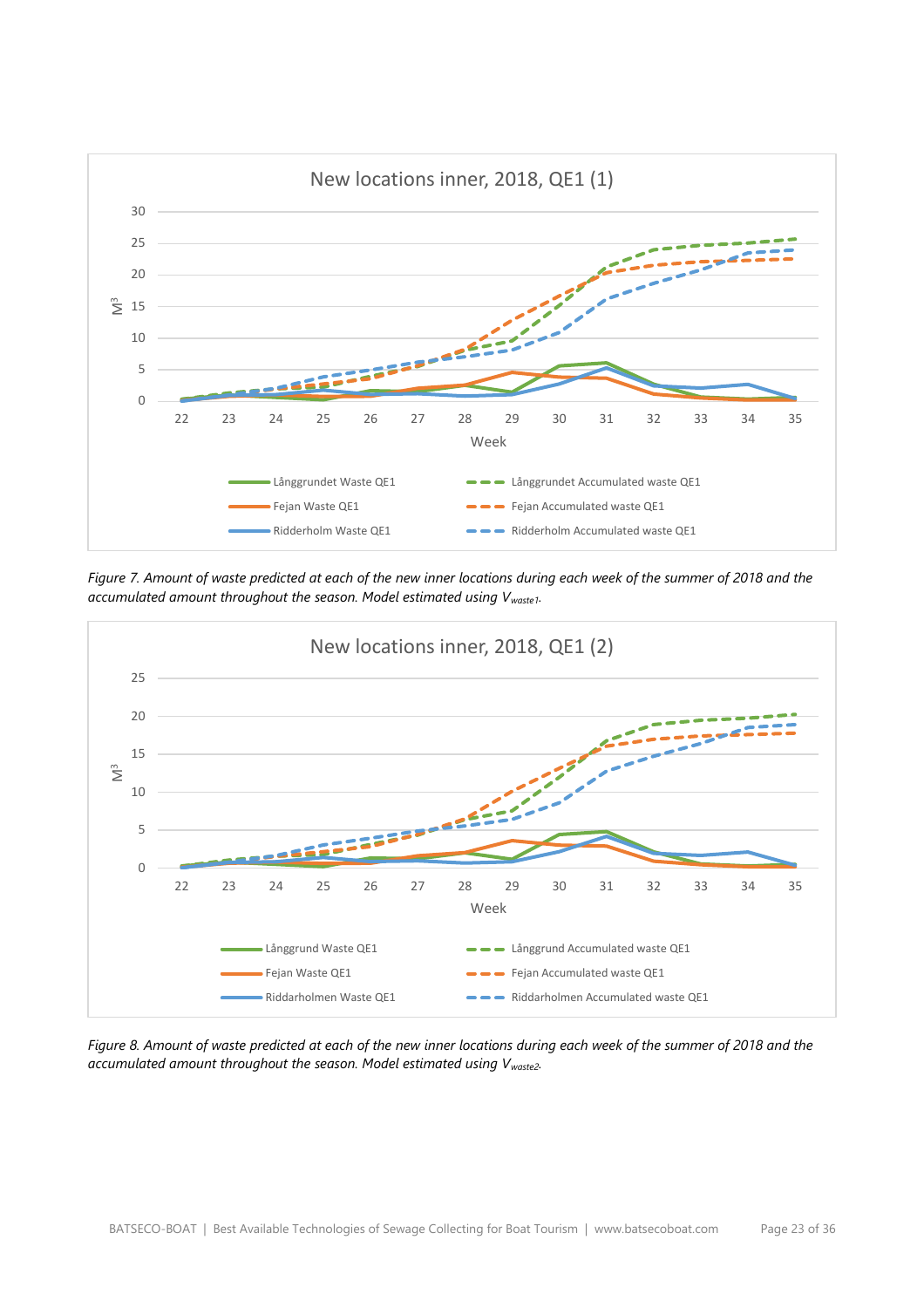

*Figure 7. Amount of waste predicted at each of the new inner locations during each week of the summer of 2018 and the accumulated amount throughout the season. Model estimated using Vwaste1.*



*Figure 8. Amount of waste predicted at each of the new inner locations during each week of the summer of 2018 and the accumulated amount throughout the season. Model estimated using Vwaste2.*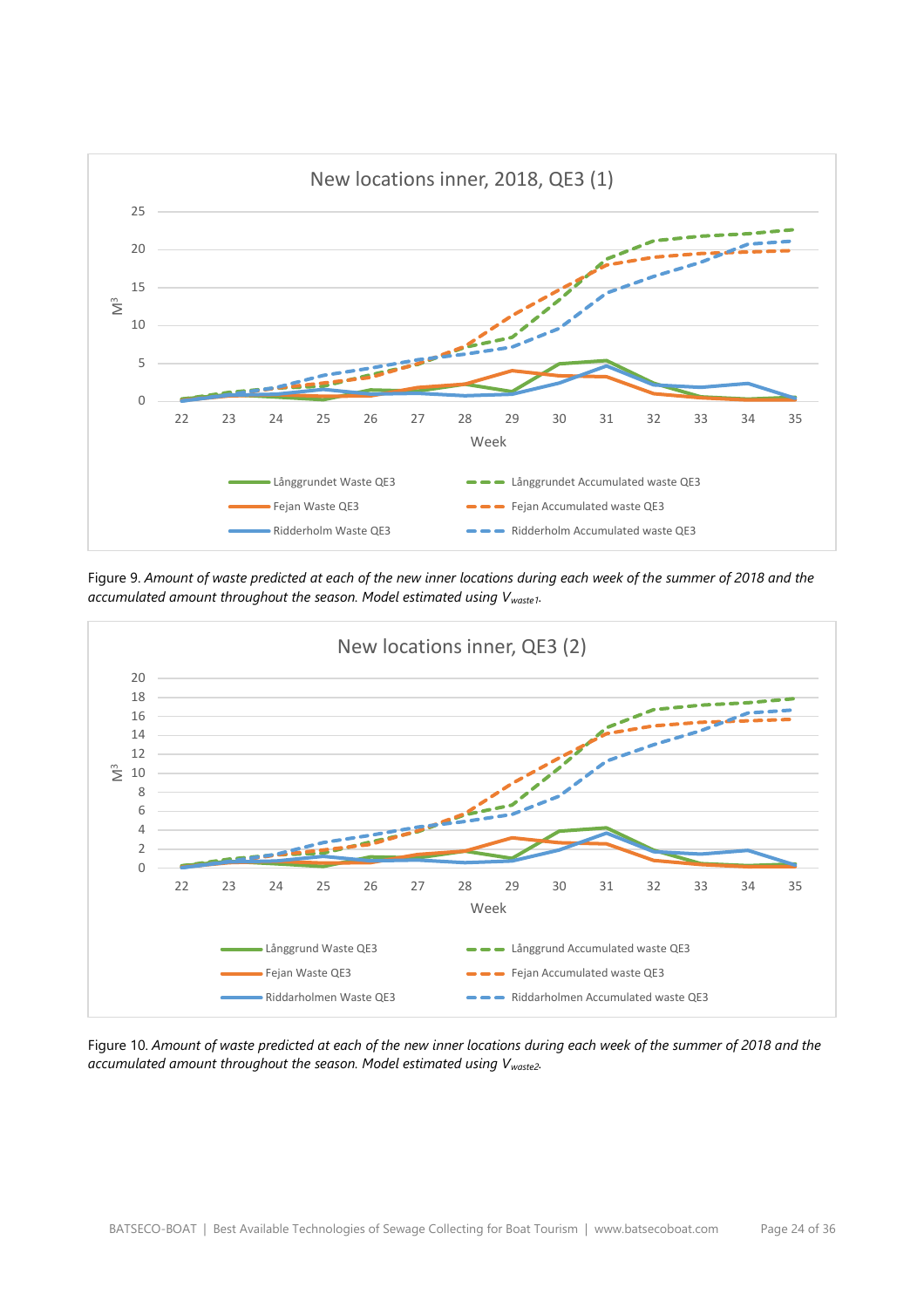

Figure 9. *Amount of waste predicted at each of the new inner locations during each week of the summer of 2018 and the accumulated amount throughout the season. Model estimated using Vwaste1.*



Figure 10. *Amount of waste predicted at each of the new inner locations during each week of the summer of 2018 and the accumulated amount throughout the season. Model estimated using Vwaste2.*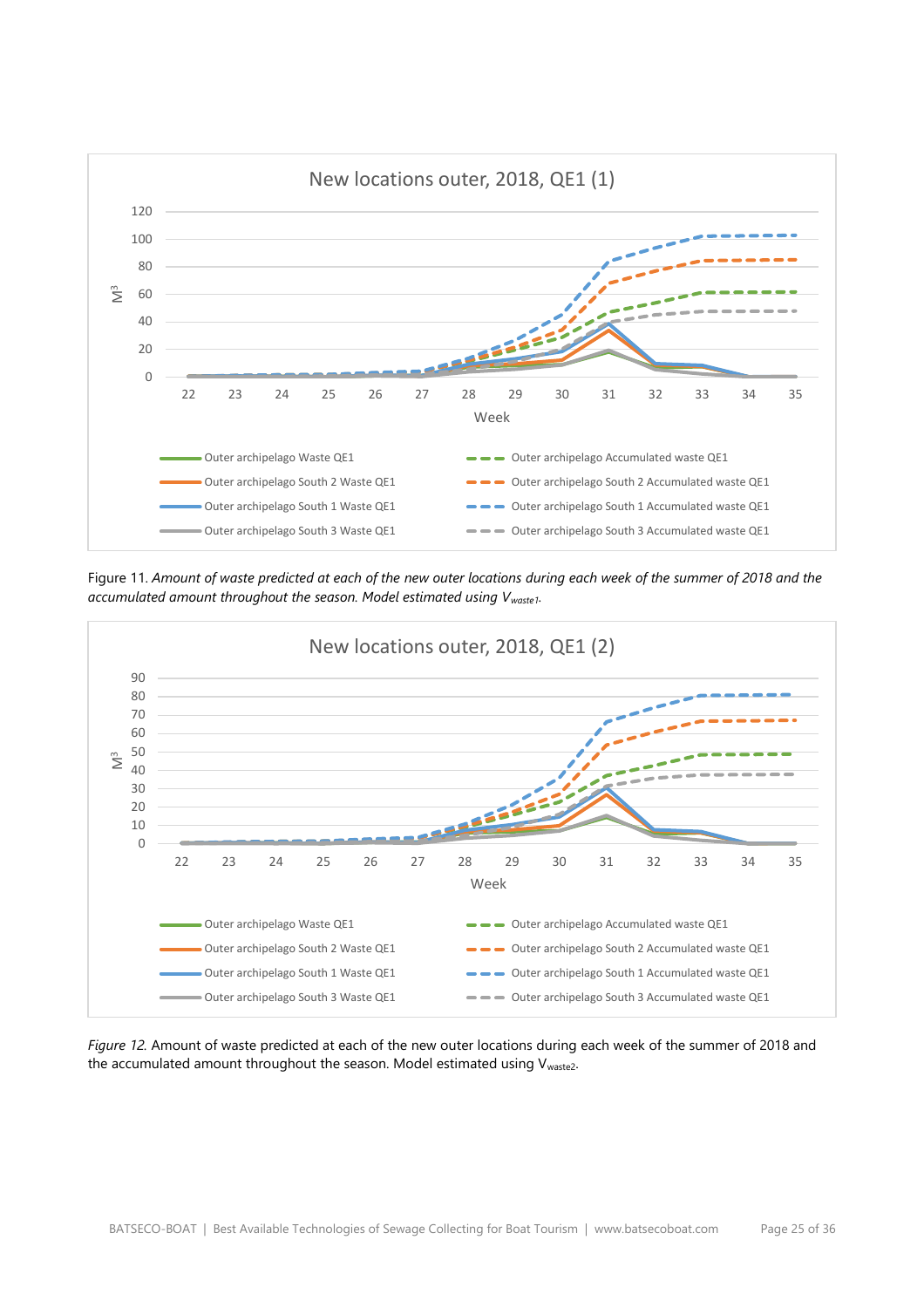

Figure 11. *Amount of waste predicted at each of the new outer locations during each week of the summer of 2018 and the accumulated amount throughout the season. Model estimated using Vwaste1.*



*Figure 12.* Amount of waste predicted at each of the new outer locations during each week of the summer of 2018 and the accumulated amount throughout the season. Model estimated using  $V_{waste2}$ .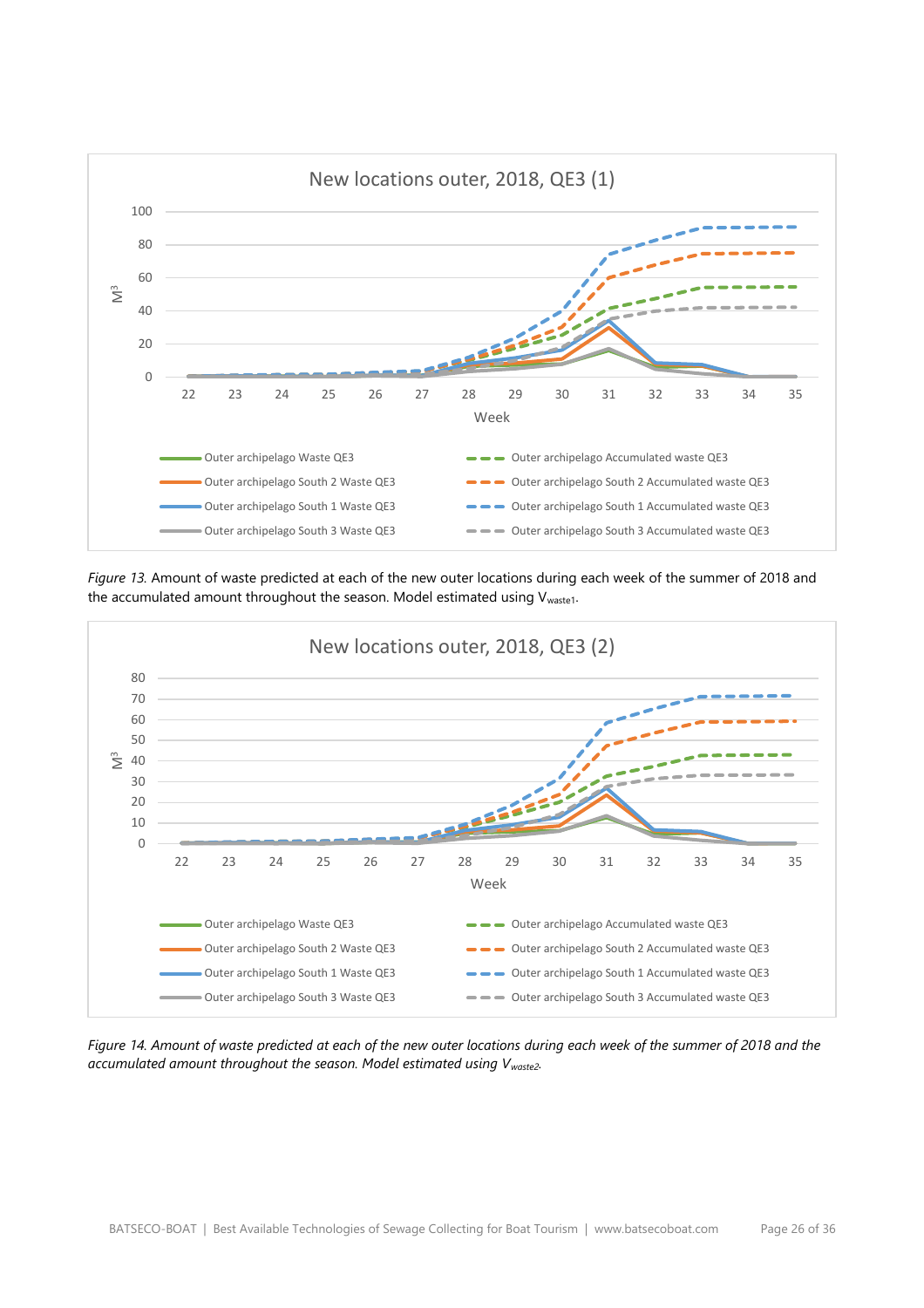

*Figure 13.* Amount of waste predicted at each of the new outer locations during each week of the summer of 2018 and the accumulated amount throughout the season. Model estimated using Vwaste1.



*Figure 14. Amount of waste predicted at each of the new outer locations during each week of the summer of 2018 and the accumulated amount throughout the season. Model estimated using Vwaste2.*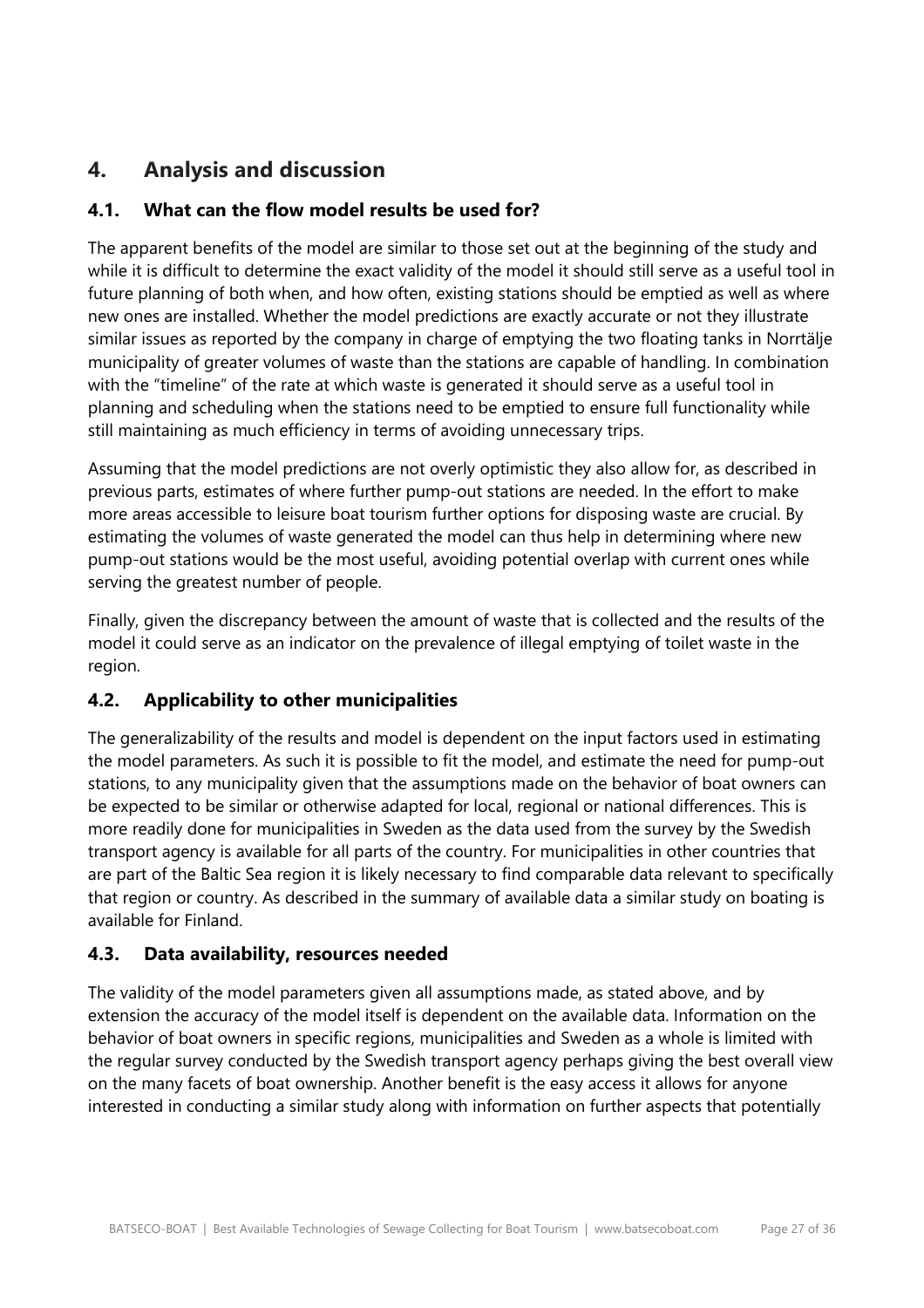# <span id="page-26-0"></span>**4. Analysis and discussion**

## **4.1. What can the flow model results be used for?**

The apparent benefits of the model are similar to those set out at the beginning of the study and while it is difficult to determine the exact validity of the model it should still serve as a useful tool in future planning of both when, and how often, existing stations should be emptied as well as where new ones are installed. Whether the model predictions are exactly accurate or not they illustrate similar issues as reported by the company in charge of emptying the two floating tanks in Norrtälje municipality of greater volumes of waste than the stations are capable of handling. In combination with the "timeline" of the rate at which waste is generated it should serve as a useful tool in planning and scheduling when the stations need to be emptied to ensure full functionality while still maintaining as much efficiency in terms of avoiding unnecessary trips.

Assuming that the model predictions are not overly optimistic they also allow for, as described in previous parts, estimates of where further pump-out stations are needed. In the effort to make more areas accessible to leisure boat tourism further options for disposing waste are crucial. By estimating the volumes of waste generated the model can thus help in determining where new pump-out stations would be the most useful, avoiding potential overlap with current ones while serving the greatest number of people.

Finally, given the discrepancy between the amount of waste that is collected and the results of the model it could serve as an indicator on the prevalence of illegal emptying of toilet waste in the region.

## **4.2. Applicability to other municipalities**

The generalizability of the results and model is dependent on the input factors used in estimating the model parameters. As such it is possible to fit the model, and estimate the need for pump-out stations, to any municipality given that the assumptions made on the behavior of boat owners can be expected to be similar or otherwise adapted for local, regional or national differences. This is more readily done for municipalities in Sweden as the data used from the survey by the Swedish transport agency is available for all parts of the country. For municipalities in other countries that are part of the Baltic Sea region it is likely necessary to find comparable data relevant to specifically that region or country. As described in the summary of available data a similar study on boating is available for Finland.

## **4.3. Data availability, resources needed**

The validity of the model parameters given all assumptions made, as stated above, and by extension the accuracy of the model itself is dependent on the available data. Information on the behavior of boat owners in specific regions, municipalities and Sweden as a whole is limited with the regular survey conducted by the Swedish transport agency perhaps giving the best overall view on the many facets of boat ownership. Another benefit is the easy access it allows for anyone interested in conducting a similar study along with information on further aspects that potentially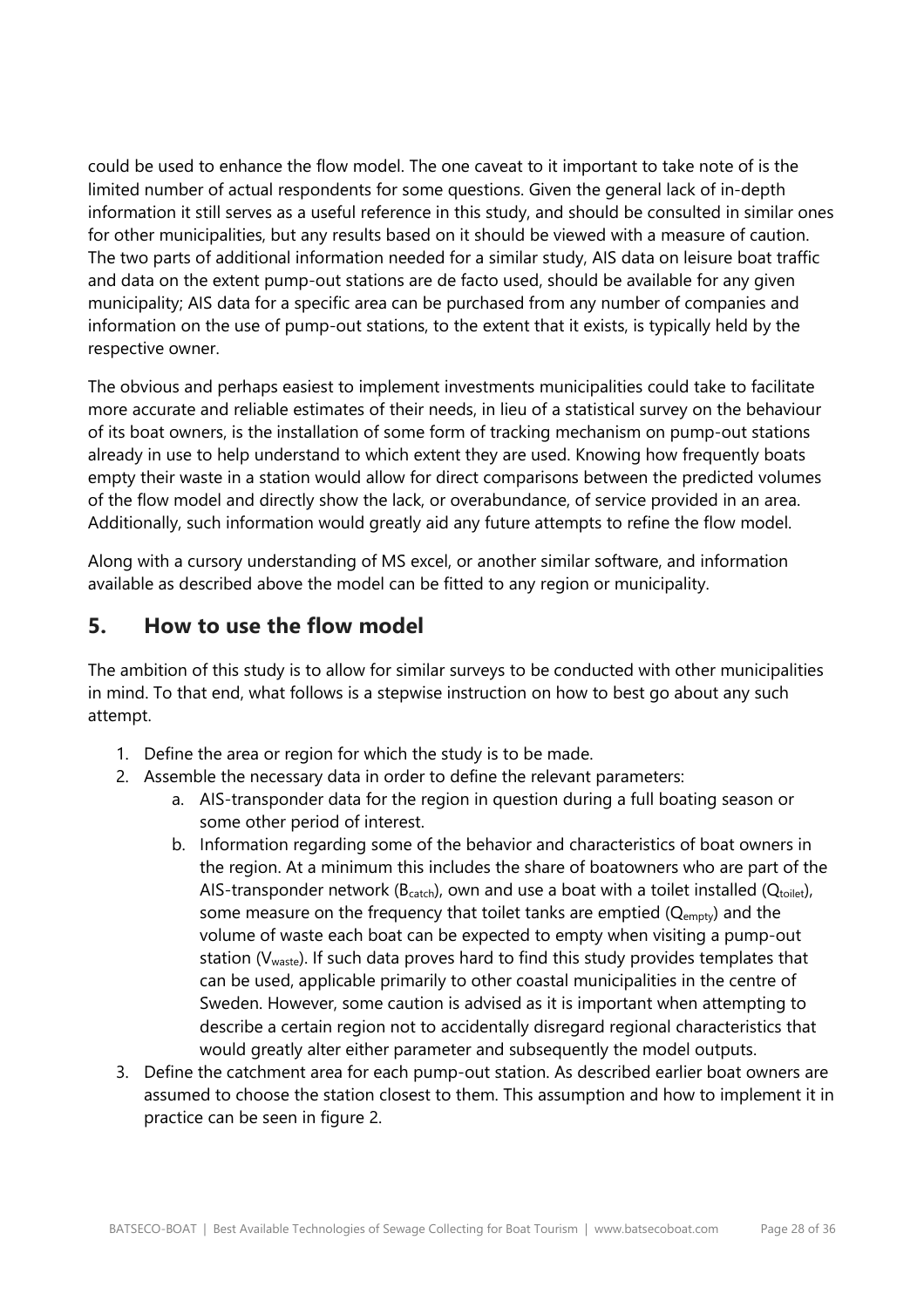could be used to enhance the flow model. The one caveat to it important to take note of is the limited number of actual respondents for some questions. Given the general lack of in-depth information it still serves as a useful reference in this study, and should be consulted in similar ones for other municipalities, but any results based on it should be viewed with a measure of caution. The two parts of additional information needed for a similar study, AIS data on leisure boat traffic and data on the extent pump-out stations are de facto used, should be available for any given municipality; AIS data for a specific area can be purchased from any number of companies and information on the use of pump-out stations, to the extent that it exists, is typically held by the respective owner.

The obvious and perhaps easiest to implement investments municipalities could take to facilitate more accurate and reliable estimates of their needs, in lieu of a statistical survey on the behaviour of its boat owners, is the installation of some form of tracking mechanism on pump-out stations already in use to help understand to which extent they are used. Knowing how frequently boats empty their waste in a station would allow for direct comparisons between the predicted volumes of the flow model and directly show the lack, or overabundance, of service provided in an area. Additionally, such information would greatly aid any future attempts to refine the flow model.

Along with a cursory understanding of MS excel, or another similar software, and information available as described above the model can be fitted to any region or municipality.

# <span id="page-27-0"></span>**5. How to use the flow model**

The ambition of this study is to allow for similar surveys to be conducted with other municipalities in mind. To that end, what follows is a stepwise instruction on how to best go about any such attempt.

- 1. Define the area or region for which the study is to be made.
- 2. Assemble the necessary data in order to define the relevant parameters:
	- a. AIS-transponder data for the region in question during a full boating season or some other period of interest.
	- b. Information regarding some of the behavior and characteristics of boat owners in the region. At a minimum this includes the share of boatowners who are part of the AIS-transponder network ( $B<sub>catch</sub>$ ), own and use a boat with a toilet installed ( $Q<sub>toilet</sub>$ ), some measure on the frequency that toilet tanks are emptied  $(Q_{\text{empty}})$  and the volume of waste each boat can be expected to empty when visiting a pump-out station (V<sub>waste</sub>). If such data proves hard to find this study provides templates that can be used, applicable primarily to other coastal municipalities in the centre of Sweden. However, some caution is advised as it is important when attempting to describe a certain region not to accidentally disregard regional characteristics that would greatly alter either parameter and subsequently the model outputs.
- 3. Define the catchment area for each pump-out station. As described earlier boat owners are assumed to choose the station closest to them. This assumption and how to implement it in practice can be seen in figure 2.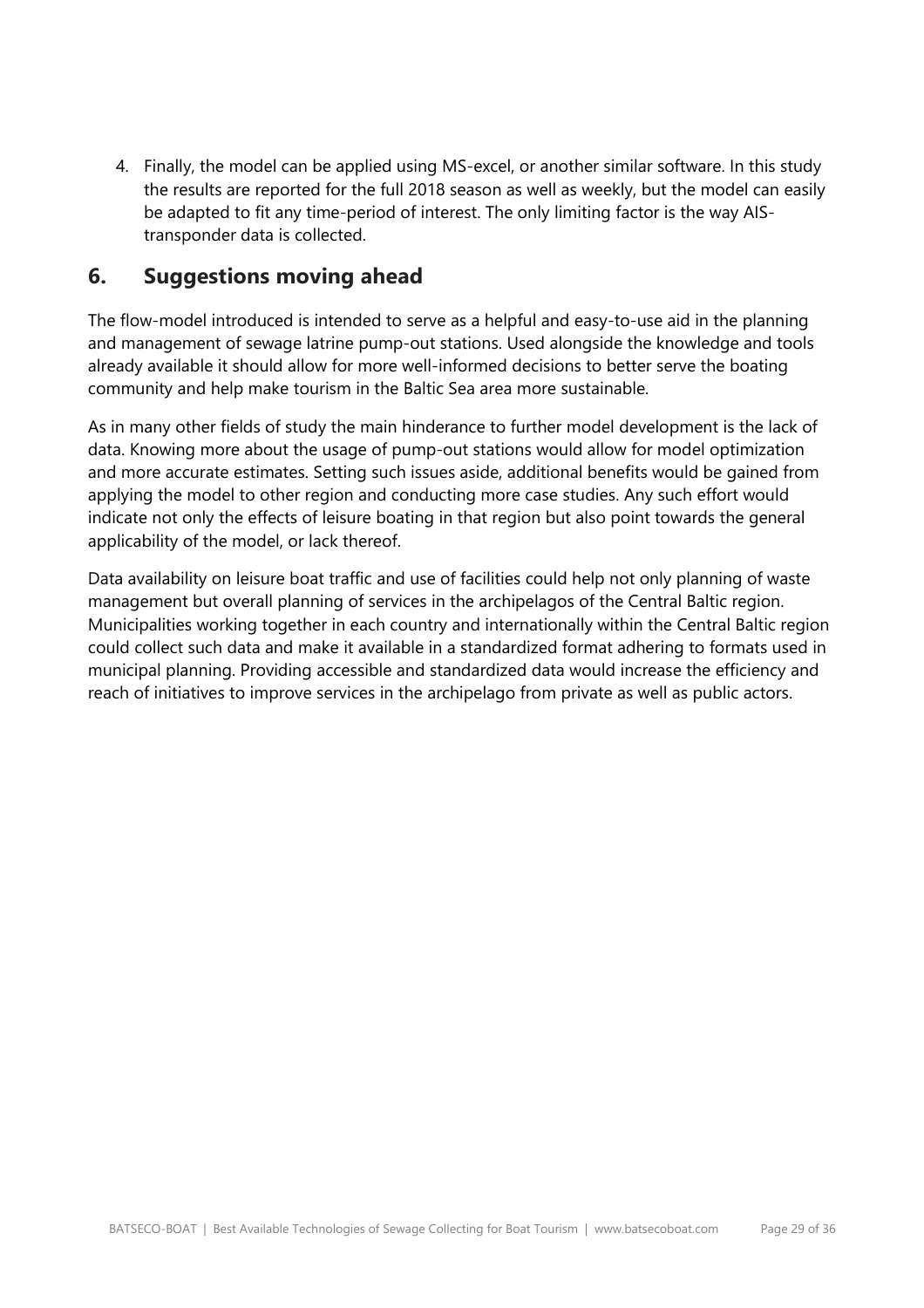4. Finally, the model can be applied using MS-excel, or another similar software. In this study the results are reported for the full 2018 season as well as weekly, but the model can easily be adapted to fit any time-period of interest. The only limiting factor is the way AIStransponder data is collected.

# <span id="page-28-0"></span>**6. Suggestions moving ahead**

The flow-model introduced is intended to serve as a helpful and easy-to-use aid in the planning and management of sewage latrine pump-out stations. Used alongside the knowledge and tools already available it should allow for more well-informed decisions to better serve the boating community and help make tourism in the Baltic Sea area more sustainable.

As in many other fields of study the main hinderance to further model development is the lack of data. Knowing more about the usage of pump-out stations would allow for model optimization and more accurate estimates. Setting such issues aside, additional benefits would be gained from applying the model to other region and conducting more case studies. Any such effort would indicate not only the effects of leisure boating in that region but also point towards the general applicability of the model, or lack thereof.

Data availability on leisure boat traffic and use of facilities could help not only planning of waste management but overall planning of services in the archipelagos of the Central Baltic region. Municipalities working together in each country and internationally within the Central Baltic region could collect such data and make it available in a standardized format adhering to formats used in municipal planning. Providing accessible and standardized data would increase the efficiency and reach of initiatives to improve services in the archipelago from private as well as public actors.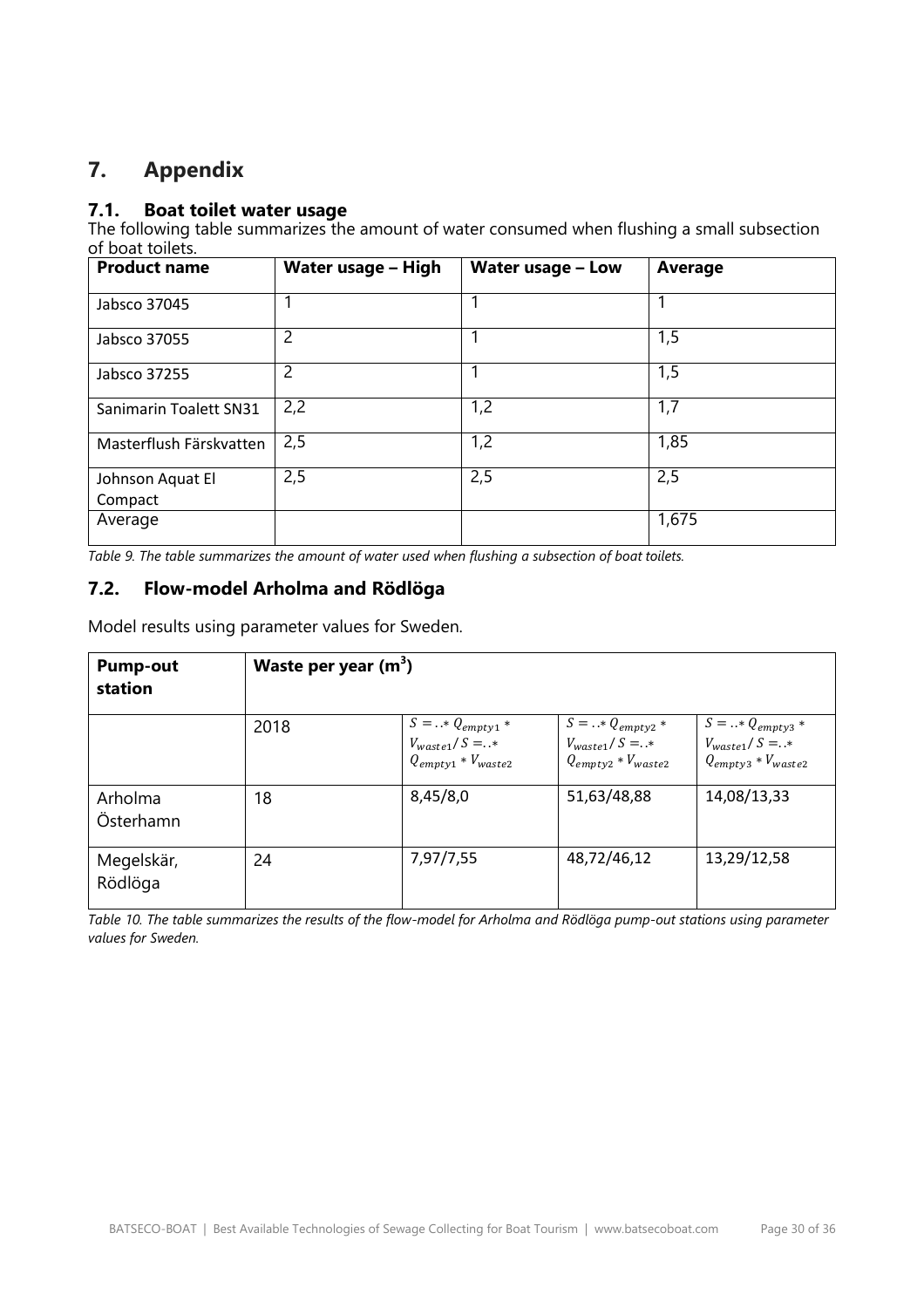# <span id="page-29-0"></span>**7. Appendix**

#### **7.1. Boat toilet water usage**

The following table summarizes the amount of water consumed when flushing a small subsection of boat toilets.

| <b>Product name</b>         | <b>Water usage - High</b> | <b>Water usage - Low</b> | Average |
|-----------------------------|---------------------------|--------------------------|---------|
| Jabsco 37045                |                           |                          |         |
| Jabsco 37055                | 2                         | 1                        | 1,5     |
| Jabsco 37255                | $\overline{2}$            |                          | 1,5     |
| Sanimarin Toalett SN31      | 2,2                       | 1,2                      | 1,7     |
| Masterflush Färskvatten     | 2,5                       | 1,2                      | 1,85    |
| Johnson Aquat El<br>Compact | 2,5                       | 2,5                      | 2,5     |
| Average                     |                           |                          | 1,675   |

*Table 9. The table summarizes the amount of water used when flushing a subsection of boat toilets.*

# **7.2. Flow-model Arholma and Rödlöga**

Model results using parameter values for Sweden.

| <b>Pump-out</b><br>station | Waste per year $(m^3)$ |                                                                           |                                                                           |                                                                           |  |
|----------------------------|------------------------|---------------------------------------------------------------------------|---------------------------------------------------------------------------|---------------------------------------------------------------------------|--|
|                            | 2018                   | $S =  * Q_{empty1} *$<br>$V_{waste1}/S = .*$<br>$Q_{empty1} * V_{waste2}$ | $S =  * Q_{empty2} *$<br>$V_{waste1}/S = .*$<br>$Q_{empty2} * V_{waste2}$ | $S =  * Q_{empty3} *$<br>$V_{waste1}/S = .*$<br>$Q_{empty3} * V_{waste2}$ |  |
| Arholma<br>Österhamn       | 18                     | 8,45/8,0                                                                  | 51,63/48,88                                                               | 14,08/13,33                                                               |  |
| Megelskär,<br>Rödlöga      | 24                     | 7,97/7,55                                                                 | 48,72/46,12                                                               | 13,29/12,58                                                               |  |

*Table 10. The table summarizes the results of the flow-model for Arholma and Rödlöga pump-out stations using parameter values for Sweden.*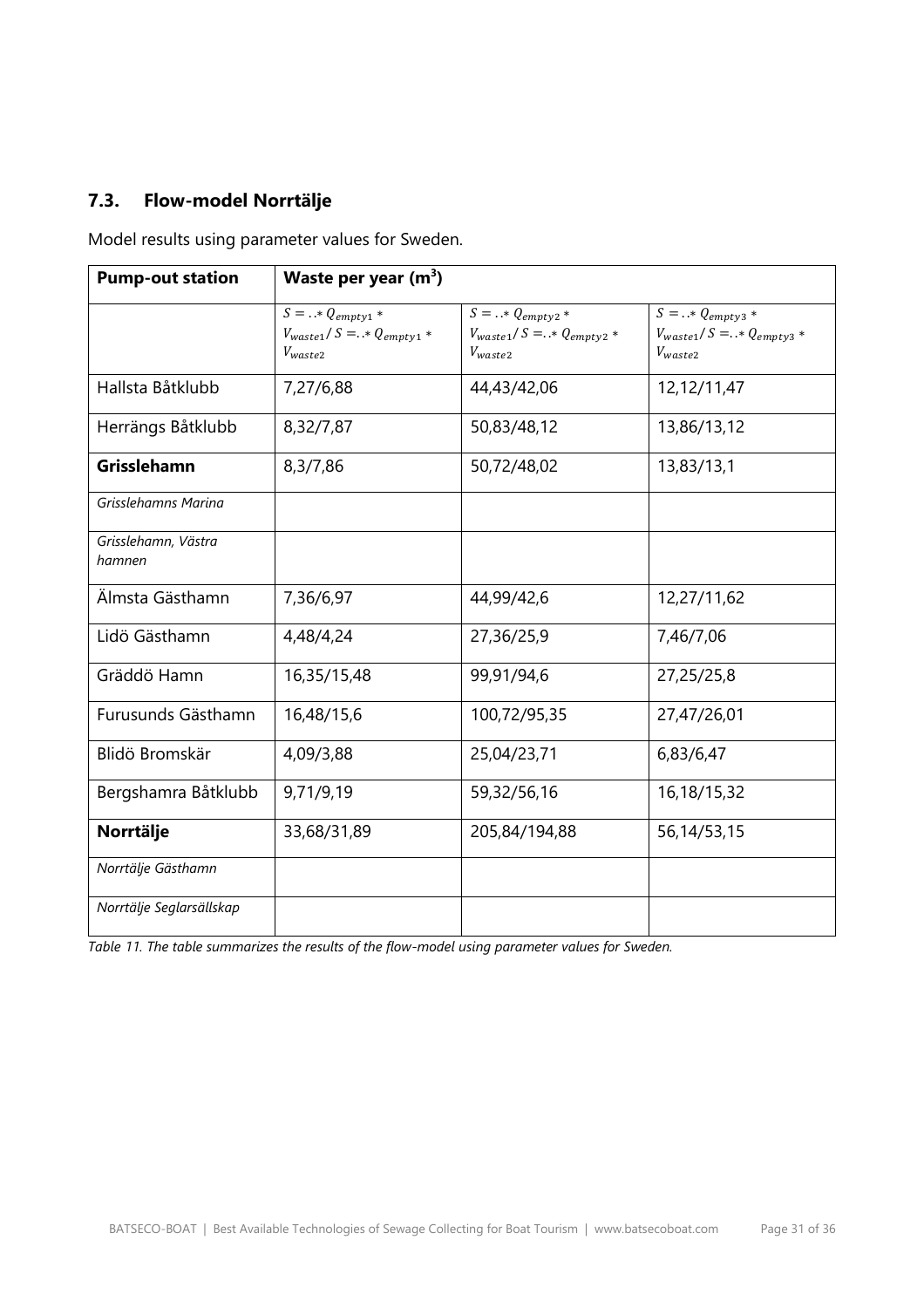# **7.3. Flow-model Norrtälje**

Model results using parameter values for Sweden.

| <b>Pump-out station</b>       | Waste per year $(m^3)$                                                    |                                                                           |                                                                                |  |
|-------------------------------|---------------------------------------------------------------------------|---------------------------------------------------------------------------|--------------------------------------------------------------------------------|--|
|                               | $S =  * Q_{empty1} *$<br>$V_{waste1}/S = .* Q_{empty1} *$<br>$V_{waste2}$ | $S =  * Q_{empty2} *$<br>$V_{waste1}/S = .* Q_{empty2} *$<br>$V_{waste2}$ | $S = \dots * Q_{empty3} *$<br>$V_{waste1}/S = .* Q_{empty3} *$<br>$V_{waste2}$ |  |
| Hallsta Båtklubb              | 7,27/6,88                                                                 | 44,43/42,06                                                               | 12,12/11,47                                                                    |  |
| Herrängs Båtklubb             | 8,32/7,87                                                                 | 50,83/48,12                                                               | 13,86/13,12                                                                    |  |
| Grisslehamn                   | 8,3/7,86                                                                  | 50,72/48,02                                                               | 13,83/13,1                                                                     |  |
| Grisslehamns Marina           |                                                                           |                                                                           |                                                                                |  |
| Grisslehamn, Västra<br>hamnen |                                                                           |                                                                           |                                                                                |  |
| Älmsta Gästhamn               | 7,36/6,97                                                                 | 44,99/42,6                                                                | 12,27/11,62                                                                    |  |
| Lidö Gästhamn                 | 4,48/4,24                                                                 | 27,36/25,9                                                                | 7,46/7,06                                                                      |  |
| Gräddö Hamn                   | 16,35/15,48                                                               | 99,91/94,6                                                                | 27,25/25,8                                                                     |  |
| Furusunds Gästhamn            | 16,48/15,6                                                                | 100,72/95,35                                                              | 27,47/26,01                                                                    |  |
| Blidö Bromskär                | 4,09/3,88                                                                 | 25,04/23,71                                                               | 6,83/6,47                                                                      |  |
| Bergshamra Båtklubb           | 9,71/9,19                                                                 | 59,32/56,16                                                               | 16,18/15,32                                                                    |  |
| Norrtälje                     | 33,68/31,89                                                               | 205,84/194,88                                                             | 56,14/53,15                                                                    |  |
| Norrtälje Gästhamn            |                                                                           |                                                                           |                                                                                |  |
| Norrtälje Seglarsällskap      |                                                                           |                                                                           |                                                                                |  |

*Table 11. The table summarizes the results of the flow-model using parameter values for Sweden.*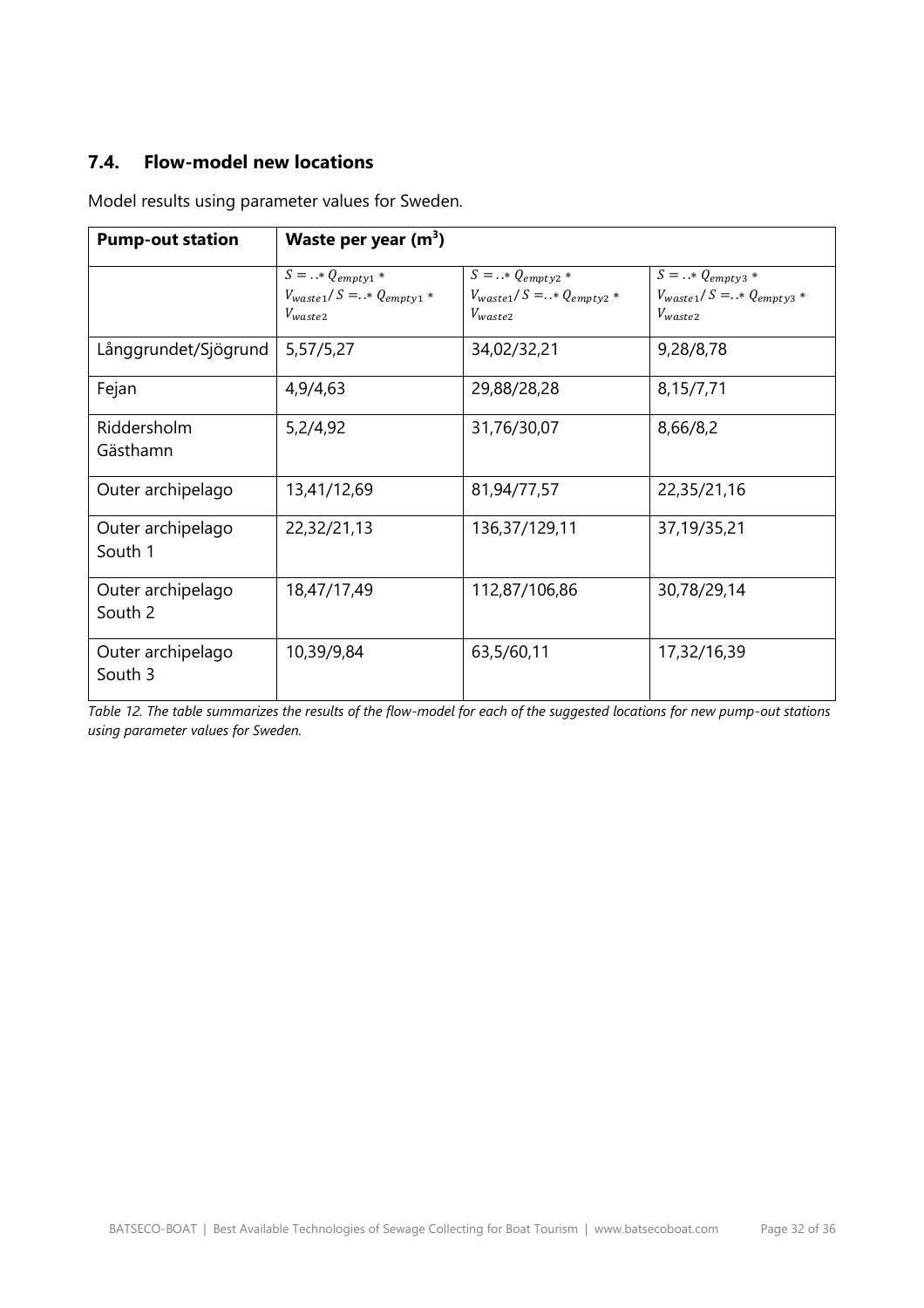#### **7.4. Flow-model new locations**

| <b>Pump-out station</b>      | Waste per year $(m^3)$                                                     |                                                                         |                                                                           |
|------------------------------|----------------------------------------------------------------------------|-------------------------------------------------------------------------|---------------------------------------------------------------------------|
|                              | $S =  * Q_{empty1} *$<br>$V_{waste1}/S = . * Q_{empty1} *$<br>$V_{waste2}$ | $S =  * Q_{empty2}$<br>$V_{waste1}/S = .* Q_{empty2} *$<br>$V_{waste2}$ | $S =  * Q_{empty3} *$<br>$V_{waste1}/S = .* Q_{empty3} *$<br>$V_{waste2}$ |
| Långgrundet/Sjögrund         | 5,57/5,27                                                                  | 34,02/32,21                                                             | 9,28/8,78                                                                 |
| Fejan                        | 4,9/4,63                                                                   | 29,88/28,28                                                             | 8,15/7,71                                                                 |
| Riddersholm<br>Gästhamn      | 5,2/4,92                                                                   | 31,76/30,07                                                             | 8,66/8,2                                                                  |
| Outer archipelago            | 13,41/12,69                                                                | 81,94/77,57                                                             | 22,35/21,16                                                               |
| Outer archipelago<br>South 1 | 22,32/21,13                                                                | 136,37/129,11                                                           | 37,19/35,21                                                               |
| Outer archipelago<br>South 2 | 18,47/17,49                                                                | 112,87/106,86                                                           | 30,78/29,14                                                               |
| Outer archipelago<br>South 3 | 10,39/9,84                                                                 | 63,5/60,11                                                              | 17,32/16,39                                                               |

Model results using parameter values for Sweden.

*Table 12. The table summarizes the results of the flow-model for each of the suggested locations for new pump-out stations using parameter values for Sweden.*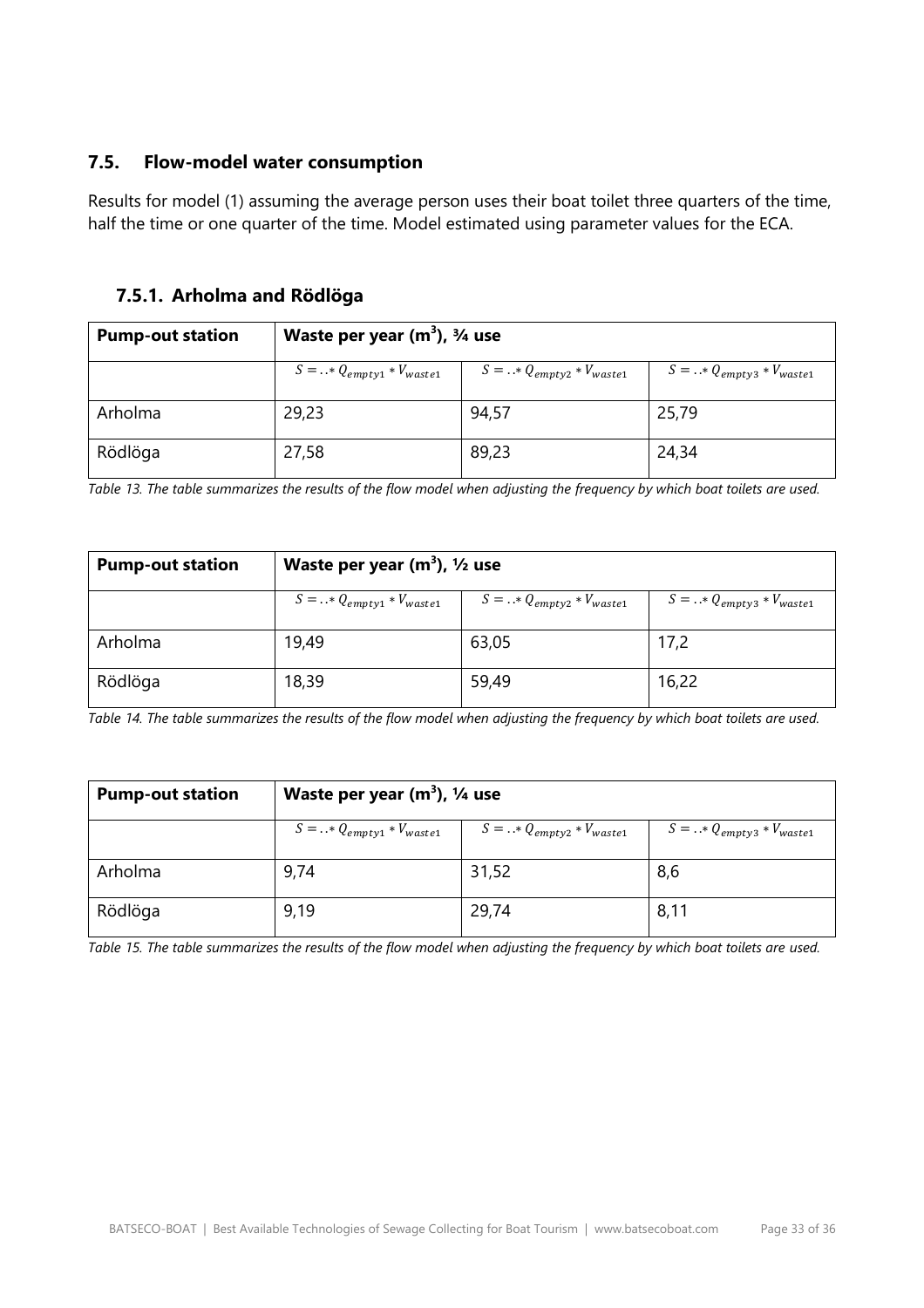#### **7.5. Flow-model water consumption**

Results for model (1) assuming the average person uses their boat toilet three quarters of the time, half the time or one quarter of the time. Model estimated using parameter values for the ECA.

#### **7.5.1. Arholma and Rödlöga**

| <b>Pump-out station</b> | Waste per year $(m^3)$ , $\frac{3}{4}$ use |                                  |                                  |  |
|-------------------------|--------------------------------------------|----------------------------------|----------------------------------|--|
|                         | $S =  * Q_{empty1} * V_{waste1}$           | $S =  * Q_{empty2} * V_{waste1}$ | $S =  * Q_{empty3} * V_{waste1}$ |  |
| Arholma                 | 29,23                                      | 94,57                            | 25,79                            |  |
| Rödlöga                 | 27,58                                      | 89,23                            | 24,34                            |  |

*Table 13. The table summarizes the results of the flow model when adjusting the frequency by which boat toilets are used.*

| <b>Pump-out station</b> | Waste per year $(m^3)$ , $1/2$ use |                                  |                                  |  |
|-------------------------|------------------------------------|----------------------------------|----------------------------------|--|
|                         | $S =  * Q_{empty1} * V_{waste1}$   | $S =  * Q_{empty2} * V_{waste1}$ | $S =  * Q_{empty3} * V_{waste1}$ |  |
| Arholma                 | 19,49                              | 63,05                            | 17,2                             |  |
| Rödlöga                 | 18,39                              | 59,49                            | 16,22                            |  |

*Table 14. The table summarizes the results of the flow model when adjusting the frequency by which boat toilets are used.*

| <b>Pump-out station</b> | Waste per year $(m^3)$ , $\frac{1}{4}$ use |                                  |                                  |  |
|-------------------------|--------------------------------------------|----------------------------------|----------------------------------|--|
|                         | $S =  * Q_{empty1} * V_{waste1}$           | $S =  * Q_{empty2} * V_{waste1}$ | $S =  * Q_{empty3} * V_{waste1}$ |  |
| Arholma                 | 9,74                                       | 31,52                            | 8,6                              |  |
| Rödlöga                 | 9,19                                       | 29,74                            | 8,11                             |  |

*Table 15. The table summarizes the results of the flow model when adjusting the frequency by which boat toilets are used.*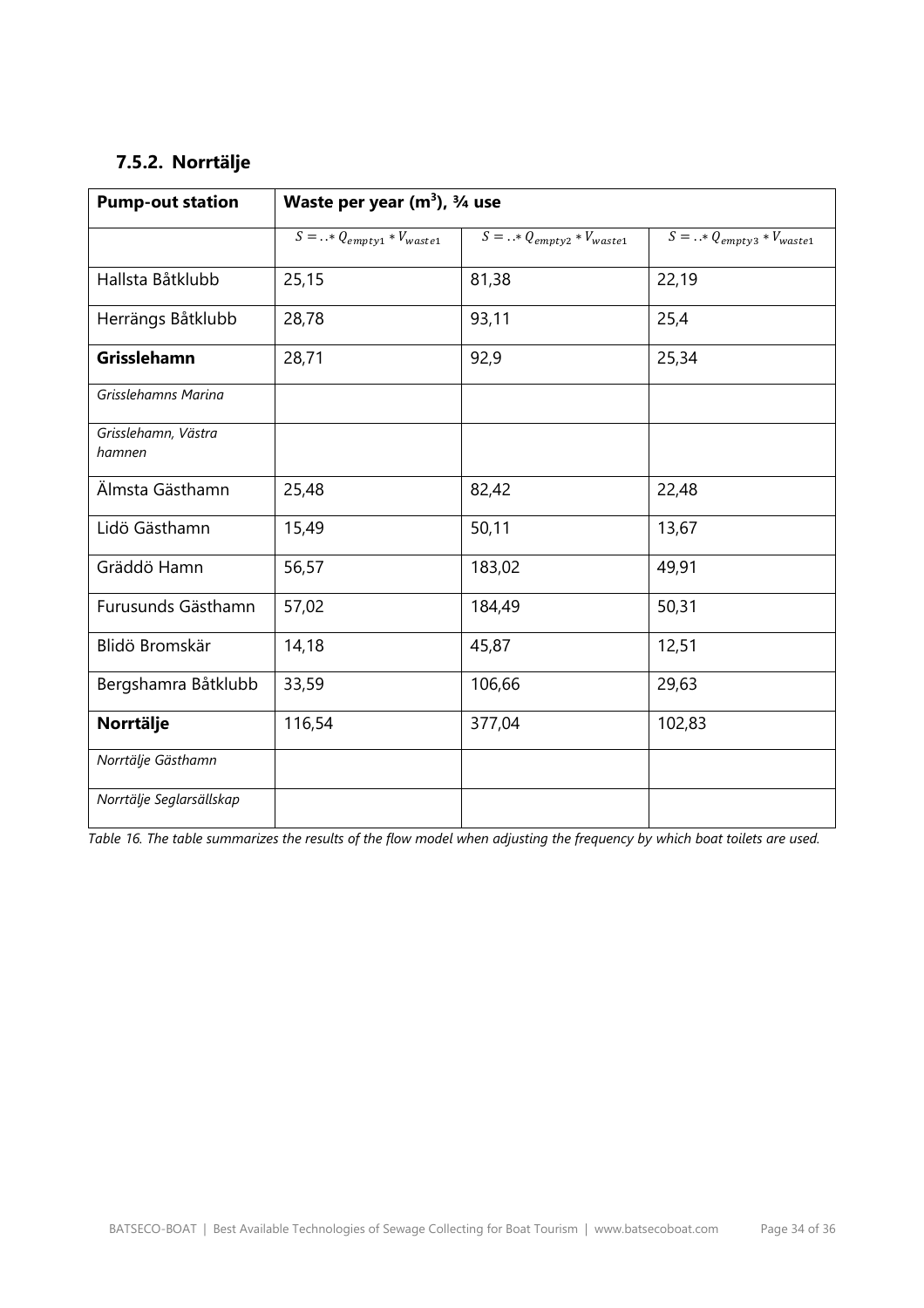# **7.5.2. Norrtälje**

| <b>Pump-out station</b>       | Waste per year $(m^3)$ , $\frac{3}{4}$ use |                                  |                                  |  |
|-------------------------------|--------------------------------------------|----------------------------------|----------------------------------|--|
|                               | $S =  * Q_{empty1} * V_{waste1}$           | $S =  * Q_{empty2} * V_{waste1}$ | $S =  * Q_{empty3} * V_{waste1}$ |  |
| Hallsta Båtklubb              | 25,15                                      | 81,38                            | 22,19                            |  |
| Herrängs Båtklubb             | 28,78                                      | 93,11                            | 25,4                             |  |
| Grisslehamn                   | 28,71                                      | 92,9                             | 25,34                            |  |
| Grisslehamns Marina           |                                            |                                  |                                  |  |
| Grisslehamn, Västra<br>hamnen |                                            |                                  |                                  |  |
| Älmsta Gästhamn               | 25,48                                      | 82,42                            | 22,48                            |  |
| Lidö Gästhamn                 | 15,49                                      | 50,11                            | 13,67                            |  |
| Gräddö Hamn                   | 56,57                                      | 183,02                           | 49,91                            |  |
| Furusunds Gästhamn            | 57,02                                      | 184,49                           | 50,31                            |  |
| Blidö Bromskär                | 14,18                                      | 45,87                            | 12,51                            |  |
| Bergshamra Båtklubb           | 33,59                                      | 106,66                           | 29,63                            |  |
| Norrtälje                     | 116,54                                     | 377,04                           | 102,83                           |  |
| Norrtälje Gästhamn            |                                            |                                  |                                  |  |
| Norrtälje Seglarsällskap      |                                            |                                  |                                  |  |

*Table 16. The table summarizes the results of the flow model when adjusting the frequency by which boat toilets are used.*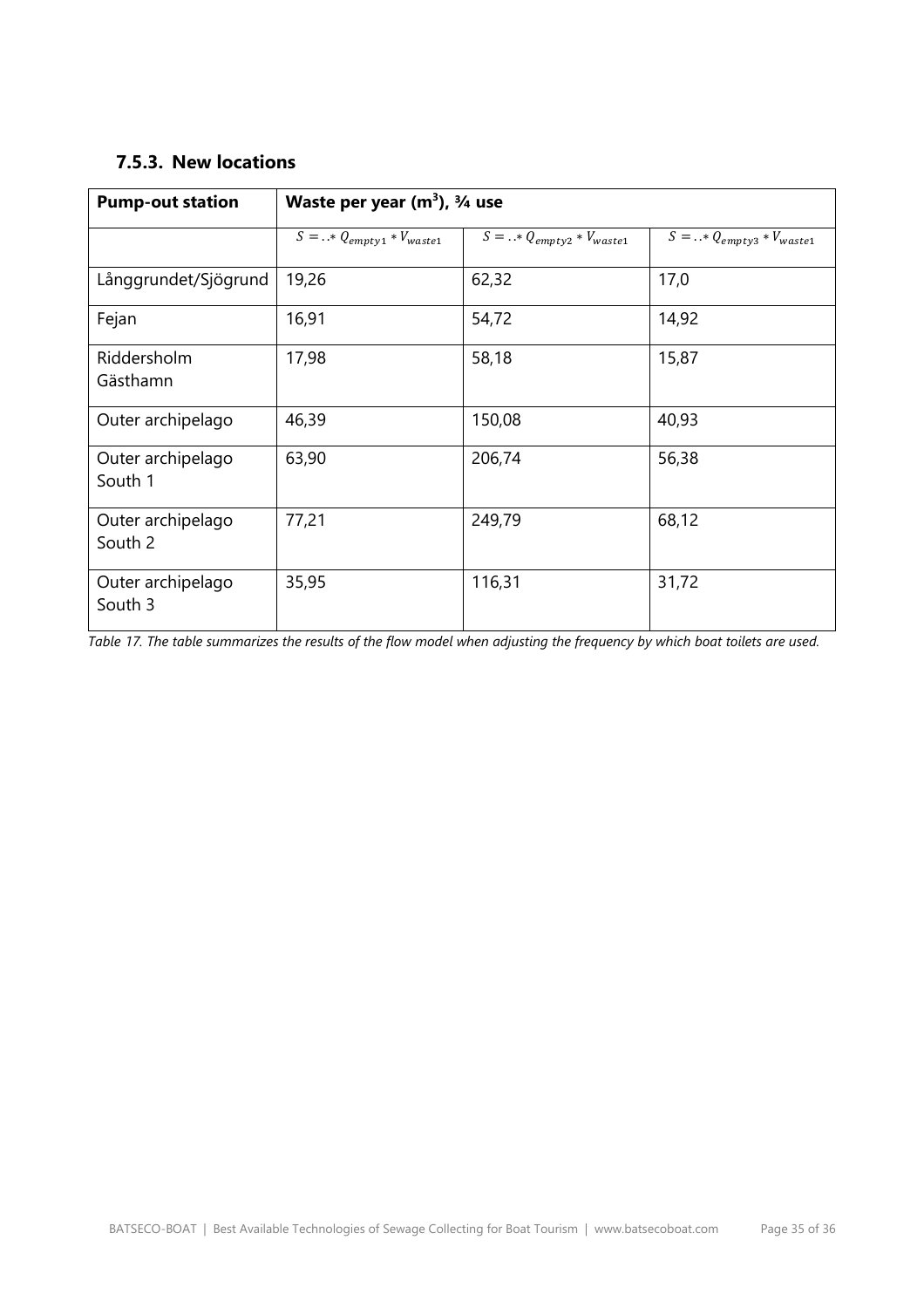#### **7.5.3. New locations**

| <b>Pump-out station</b>      | Waste per year $(m^3)$ , $\frac{3}{4}$ use |                                     |                                     |  |
|------------------------------|--------------------------------------------|-------------------------------------|-------------------------------------|--|
|                              | $S = .$ * $Q_{empty1}$ * $V_{waste1}$      | $S = .$ * $Q_{empty2} * V_{waste1}$ | $S = .$ * $Q_{empty3} * V_{waste1}$ |  |
| Långgrundet/Sjögrund         | 19,26                                      | 62,32                               | 17,0                                |  |
| Fejan                        | 16,91                                      | 54,72                               | 14,92                               |  |
| Riddersholm<br>Gästhamn      | 17,98                                      | 58,18                               | 15,87                               |  |
| Outer archipelago            | 46,39                                      | 150,08                              | 40,93                               |  |
| Outer archipelago<br>South 1 | 63,90                                      | 206,74                              | 56,38                               |  |
| Outer archipelago<br>South 2 | 77,21                                      | 249,79                              | 68,12                               |  |
| Outer archipelago<br>South 3 | 35,95                                      | 116,31                              | 31,72                               |  |

*Table 17. The table summarizes the results of the flow model when adjusting the frequency by which boat toilets are used.*